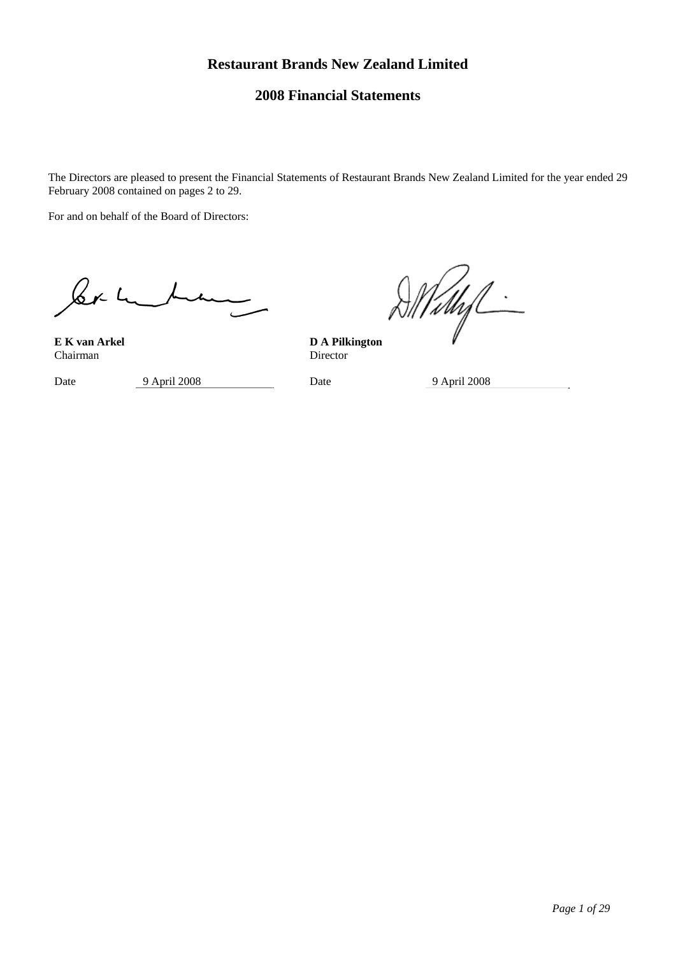# **Restaurant Brands New Zealand Limited**

# **2008 Financial Statements**

The Directors are pleased to present the Financial Statements of Restaurant Brands New Zealand Limited for the year ended 29 February 2008 contained on pages 2 to 29.

For and on behalf of the Board of Directors:

 $\&r1$ 

**E K van Arkel D A Pilkington Chairman** Director Chairman

Date 9 April 2008 Date 9 April 2008

Vidhif -

*Page 1 of 29*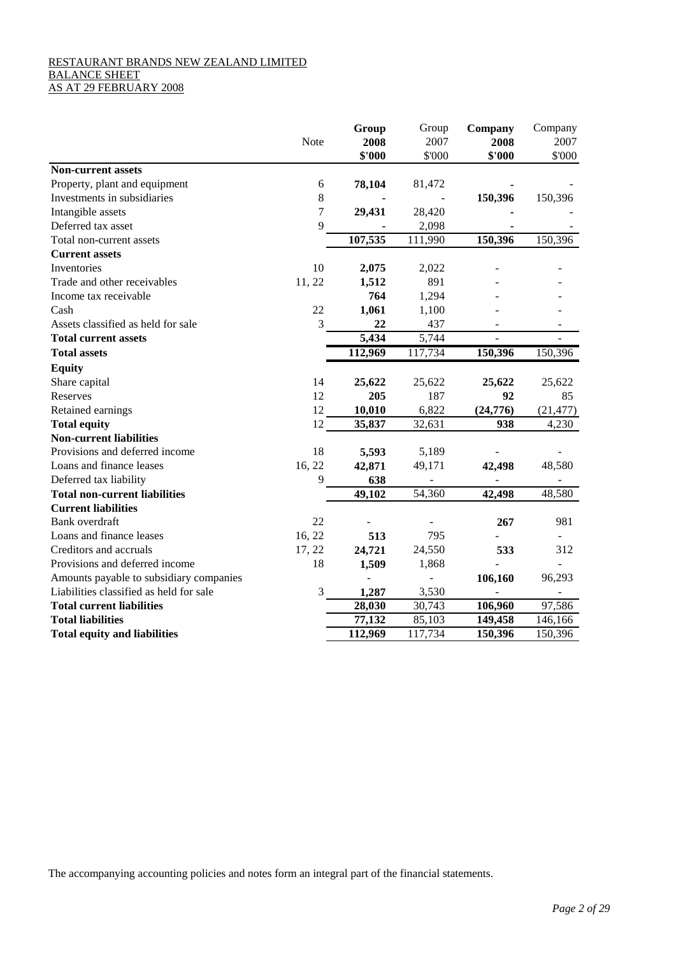# RESTAURANT BRANDS NEW ZEALAND LIMITED BALANCE SHEET AS AT 29 FEBRUARY 2008

|                                         |             | Group   | Group   | Company   | Company   |
|-----------------------------------------|-------------|---------|---------|-----------|-----------|
|                                         | <b>Note</b> | 2008    | 2007    | 2008      | 2007      |
|                                         |             | \$'000  | \$'000  | \$'000    | \$'000    |
| <b>Non-current assets</b>               |             |         |         |           |           |
| Property, plant and equipment           | 6           | 78,104  | 81,472  |           |           |
| Investments in subsidiaries             | 8           |         |         | 150,396   | 150,396   |
| Intangible assets                       | 7           | 29,431  | 28,420  |           |           |
| Deferred tax asset                      | 9           |         | 2,098   |           |           |
| Total non-current assets                |             | 107,535 | 111,990 | 150,396   | 150,396   |
| <b>Current assets</b>                   |             |         |         |           |           |
| Inventories                             | 10          | 2,075   | 2,022   |           |           |
| Trade and other receivables             | 11, 22      | 1,512   | 891     |           |           |
| Income tax receivable                   |             | 764     | 1,294   |           |           |
| Cash                                    | 22          | 1,061   | 1,100   |           |           |
| Assets classified as held for sale      | 3           | 22      | 437     |           |           |
| <b>Total current assets</b>             |             | 5,434   | 5,744   |           |           |
| <b>Total assets</b>                     |             | 112,969 | 117,734 | 150,396   | 150,396   |
| <b>Equity</b>                           |             |         |         |           |           |
| Share capital                           | 14          | 25,622  | 25,622  | 25,622    | 25,622    |
| Reserves                                | 12          | 205     | 187     | 92        | 85        |
| Retained earnings                       | 12          | 10,010  | 6,822   | (24, 776) | (21, 477) |
| <b>Total equity</b>                     | 12          | 35,837  | 32,631  | 938       | 4,230     |
| <b>Non-current liabilities</b>          |             |         |         |           |           |
| Provisions and deferred income          | 18          | 5,593   | 5,189   |           |           |
| Loans and finance leases                | 16, 22      | 42,871  | 49,171  | 42,498    | 48,580    |
| Deferred tax liability                  | 9           | 638     |         |           |           |
| <b>Total non-current liabilities</b>    |             | 49,102  | 54,360  | 42,498    | 48,580    |
| <b>Current liabilities</b>              |             |         |         |           |           |
| <b>Bank</b> overdraft                   | 22          |         |         | 267       | 981       |
| Loans and finance leases                | 16, 22      | 513     | 795     |           |           |
| Creditors and accruals                  | 17, 22      | 24,721  | 24,550  | 533       | 312       |
| Provisions and deferred income          | 18          | 1,509   | 1,868   |           |           |
| Amounts payable to subsidiary companies |             |         |         | 106,160   | 96,293    |
| Liabilities classified as held for sale | 3           | 1,287   | 3,530   |           |           |
| <b>Total current liabilities</b>        |             | 28,030  | 30,743  | 106,960   | 97,586    |
| <b>Total liabilities</b>                |             | 77,132  | 85,103  | 149,458   | 146,166   |
| <b>Total equity and liabilities</b>     |             | 112,969 | 117,734 | 150,396   | 150,396   |
|                                         |             |         |         |           |           |

The accompanying accounting policies and notes form an integral part of the financial statements.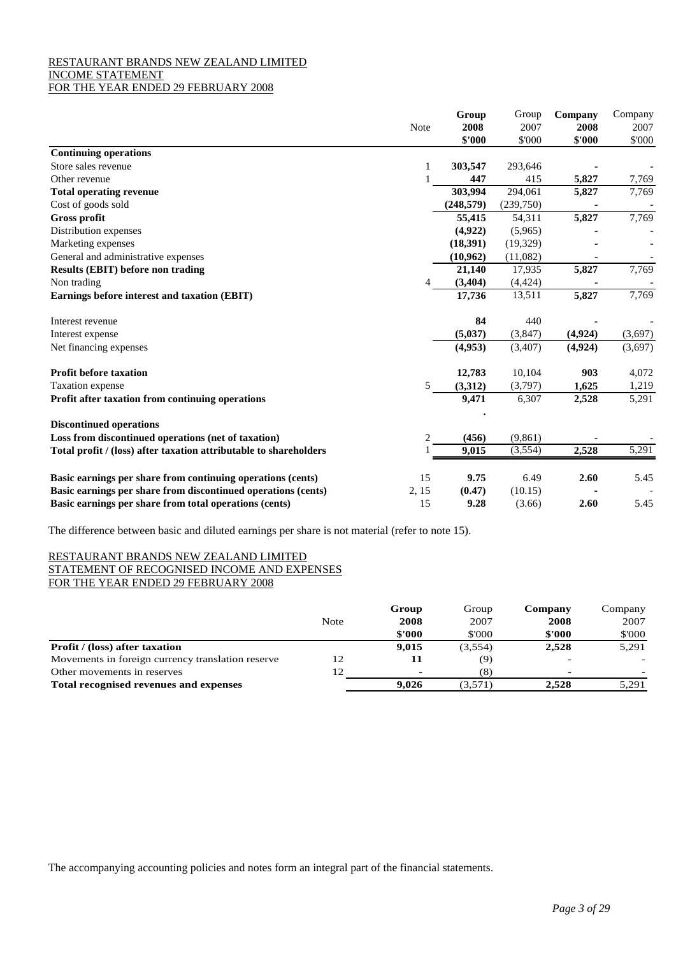# RESTAURANT BRANDS NEW ZEALAND LIMITED INCOME STATEMENT

# FOR THE YEAR ENDED 29 FEBRUARY 2008

|                                                                   |       | Group      | Group     | Company | Company |
|-------------------------------------------------------------------|-------|------------|-----------|---------|---------|
|                                                                   | Note  | 2008       | 2007      | 2008    | 2007    |
|                                                                   |       | \$'000     | \$'000    | \$'000  | \$'000  |
| <b>Continuing operations</b>                                      |       |            |           |         |         |
| Store sales revenue                                               | 1     | 303,547    | 293,646   |         |         |
| Other revenue                                                     |       | 447        | 415       | 5,827   | 7,769   |
| <b>Total operating revenue</b>                                    |       | 303,994    | 294,061   | 5,827   | 7,769   |
| Cost of goods sold                                                |       | (248, 579) | (239,750) |         |         |
| <b>Gross profit</b>                                               |       | 55,415     | 54,311    | 5,827   | 7,769   |
| Distribution expenses                                             |       | (4,922)    | (5,965)   |         |         |
| Marketing expenses                                                |       | (18, 391)  | (19, 329) |         |         |
| General and administrative expenses                               |       | (10, 962)  | (11,082)  |         |         |
| <b>Results (EBIT) before non trading</b>                          |       | 21,140     | 17,935    | 5,827   | 7,769   |
| Non trading                                                       |       | (3,404)    | (4, 424)  |         |         |
| Earnings before interest and taxation (EBIT)                      |       | 17,736     | 13,511    | 5,827   | 7,769   |
| Interest revenue                                                  |       | 84         | 440       |         |         |
| Interest expense                                                  |       | (5,037)    | (3,847)   | (4,924) | (3,697) |
| Net financing expenses                                            |       | (4,953)    | (3,407)   | (4,924) | (3,697) |
| <b>Profit before taxation</b>                                     |       | 12,783     | 10,104    | 903     | 4,072   |
| Taxation expense                                                  | 5     | (3,312)    | (3,797)   | 1,625   | 1,219   |
| Profit after taxation from continuing operations                  |       | 9,471      | 6,307     | 2,528   | 5,291   |
| <b>Discontinued operations</b>                                    |       |            |           |         |         |
| Loss from discontinued operations (net of taxation)               | 2     | (456)      | (9,861)   |         |         |
| Total profit / (loss) after taxation attributable to shareholders |       | 9,015      | (3,554)   | 2,528   | 5,291   |
|                                                                   |       |            |           |         |         |
| Basic earnings per share from continuing operations (cents)       | 15    | 9.75       | 6.49      | 2.60    | 5.45    |
| Basic earnings per share from discontinued operations (cents)     | 2, 15 | (0.47)     | (10.15)   |         |         |
| Basic earnings per share from total operations (cents)            | 15    | 9.28       | (3.66)    | 2.60    | 5.45    |

The difference between basic and diluted earnings per share is not material (refer to note 15).

# RESTAURANT BRANDS NEW ZEALAND LIMITED STATEMENT OF RECOGNISED INCOME AND EXPENSES

FOR THE YEAR ENDED 29 FEBRUARY 2008

|                                                   |      | Group  | Group   | Company | Company |
|---------------------------------------------------|------|--------|---------|---------|---------|
|                                                   | Note | 2008   | 2007    | 2008    | 2007    |
|                                                   |      | \$'000 | \$'000  | \$'000  | \$'000  |
| <b>Profit</b> / (loss) after taxation             |      | 9.015  | (3,554) | 2.528   | 5,291   |
| Movements in foreign currency translation reserve | 12   | 11     | (9)     |         |         |
| Other movements in reserves                       | 12   |        | (8)     |         |         |
| Total recognised revenues and expenses            |      | 9.026  | (3,571) | 2.528   | 5.291   |

The accompanying accounting policies and notes form an integral part of the financial statements.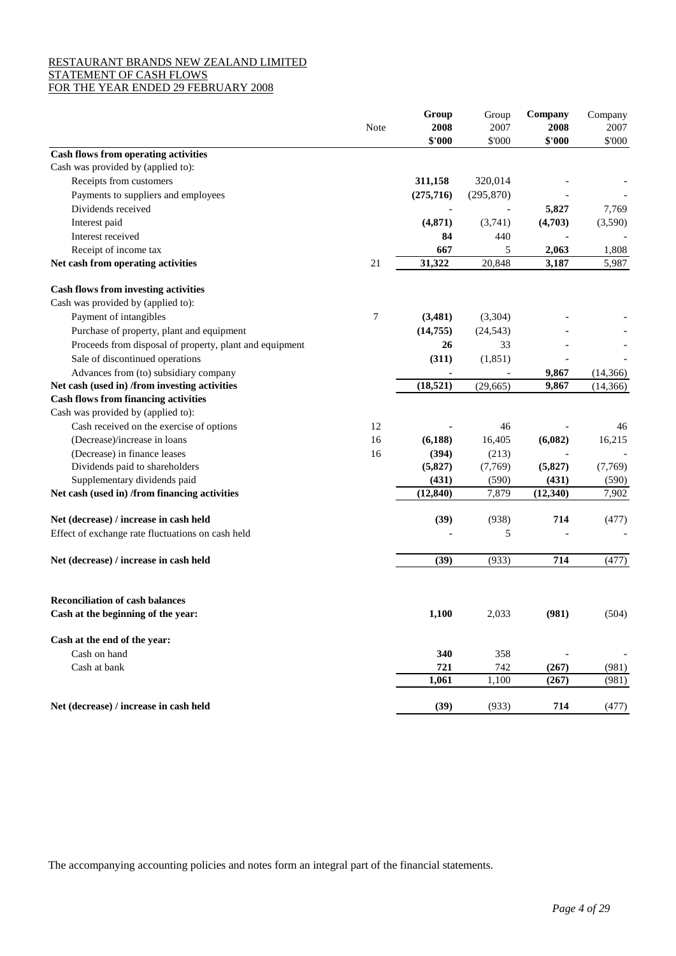# RESTAURANT BRANDS NEW ZEALAND LIMITED STATEMENT OF CASH FLOWS

|  |  | FOR THE YEAR ENDED 29 FEBRUARY 2008 |  |
|--|--|-------------------------------------|--|
|--|--|-------------------------------------|--|

|                                                         |      | Group      | Group                    | Company   | Company        |
|---------------------------------------------------------|------|------------|--------------------------|-----------|----------------|
|                                                         | Note | 2008       | 2007                     | 2008      | 2007           |
|                                                         |      | \$'000     | \$'000                   | \$'000    | \$'000         |
| <b>Cash flows from operating activities</b>             |      |            |                          |           |                |
| Cash was provided by (applied to):                      |      |            |                          |           |                |
| Receipts from customers                                 |      | 311,158    | 320,014                  |           |                |
| Payments to suppliers and employees                     |      | (275, 716) | (295, 870)               |           |                |
| Dividends received                                      |      |            | $\overline{\phantom{a}}$ | 5,827     | 7,769          |
| Interest paid                                           |      | (4, 871)   | (3,741)                  | (4,703)   | (3,590)        |
| Interest received                                       |      | 84         | 440                      |           |                |
| Receipt of income tax                                   |      | 667        | 5                        | 2,063     | 1,808          |
| Net cash from operating activities                      | 21   | 31,322     | 20,848                   | 3,187     | 5,987          |
| <b>Cash flows from investing activities</b>             |      |            |                          |           |                |
| Cash was provided by (applied to):                      |      |            |                          |           |                |
| Payment of intangibles                                  | 7    | (3,481)    | (3,304)                  |           |                |
| Purchase of property, plant and equipment               |      | (14, 755)  | (24, 543)                |           |                |
| Proceeds from disposal of property, plant and equipment |      | 26         | 33                       |           |                |
| Sale of discontinued operations                         |      | (311)      | (1, 851)                 |           |                |
| Advances from (to) subsidiary company                   |      |            |                          | 9,867     | (14, 366)      |
| Net cash (used in) /from investing activities           |      | (18, 521)  | (29, 665)                | 9.867     | (14, 366)      |
| <b>Cash flows from financing activities</b>             |      |            |                          |           |                |
| Cash was provided by (applied to):                      |      |            |                          |           |                |
| Cash received on the exercise of options                | 12   |            | 46                       |           | 46             |
| (Decrease)/increase in loans                            | 16   | (6,188)    | 16,405                   | (6,082)   | 16,215         |
| (Decrease) in finance leases                            | 16   | (394)      | (213)                    |           |                |
| Dividends paid to shareholders                          |      | (5, 827)   | (7,769)                  | (5, 827)  | (7,769)        |
| Supplementary dividends paid                            |      | (431)      | (590)                    | (431)     | (590)          |
| Net cash (used in) /from financing activities           |      | (12, 840)  | 7,879                    | (12, 340) | 7,902          |
| Net (decrease) / increase in cash held                  |      | (39)       | (938)                    | 714       | (477)          |
| Effect of exchange rate fluctuations on cash held       |      |            | 5                        |           |                |
| Net (decrease) / increase in cash held                  |      | (39)       | (933)                    | 714       | (477)          |
|                                                         |      |            |                          |           |                |
| <b>Reconciliation of cash balances</b>                  |      |            |                          |           |                |
| Cash at the beginning of the year:                      |      | 1,100      | 2,033                    | (981)     | (504)          |
| Cash at the end of the year:                            |      |            |                          |           |                |
| Cash on hand                                            |      | 340        | 358                      |           | $\overline{a}$ |
| Cash at bank                                            |      | 721        | 742                      | (267)     | (981)          |
|                                                         |      | 1,061      | 1,100                    | (267)     | (981)          |
| Net (decrease) / increase in cash held                  |      | (39)       | (933)                    | 714       | (477)          |

The accompanying accounting policies and notes form an integral part of the financial statements.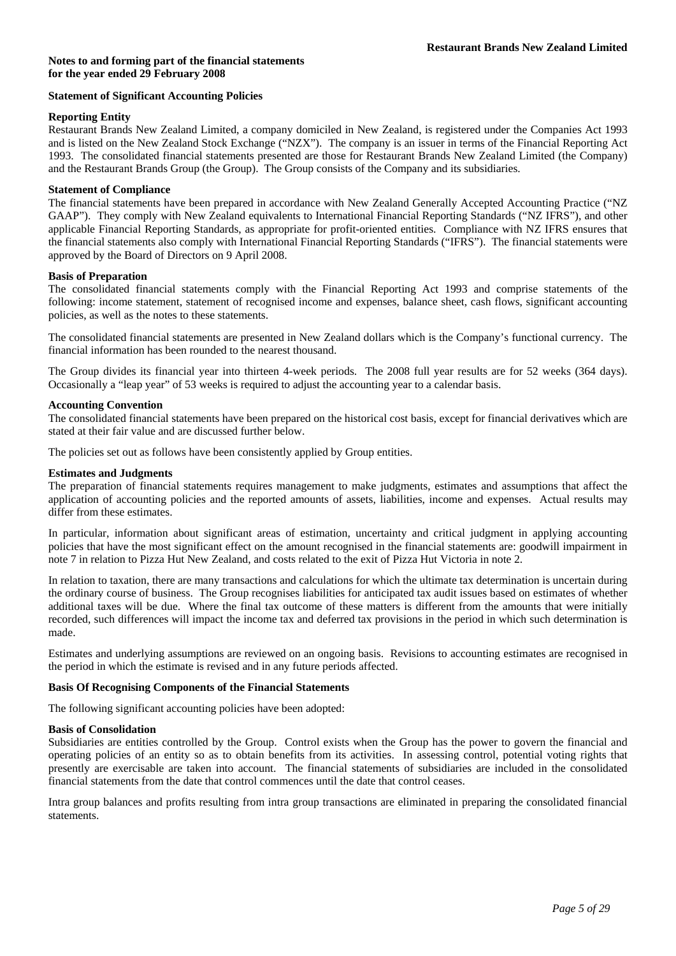### **Statement of Significant Accounting Policies**

### **Reporting Entity**

Restaurant Brands New Zealand Limited, a company domiciled in New Zealand, is registered under the Companies Act 1993 and is listed on the New Zealand Stock Exchange ("NZX"). The company is an issuer in terms of the Financial Reporting Act 1993. The consolidated financial statements presented are those for Restaurant Brands New Zealand Limited (the Company) and the Restaurant Brands Group (the Group). The Group consists of the Company and its subsidiaries.

### **Statement of Compliance**

The financial statements have been prepared in accordance with New Zealand Generally Accepted Accounting Practice ("NZ GAAP"). They comply with New Zealand equivalents to International Financial Reporting Standards ("NZ IFRS"), and other applicable Financial Reporting Standards, as appropriate for profit-oriented entities. Compliance with NZ IFRS ensures that the financial statements also comply with International Financial Reporting Standards ("IFRS"). The financial statements were approved by the Board of Directors on 9 April 2008.

### **Basis of Preparation**

The consolidated financial statements comply with the Financial Reporting Act 1993 and comprise statements of the following: income statement, statement of recognised income and expenses, balance sheet, cash flows, significant accounting policies, as well as the notes to these statements.

The consolidated financial statements are presented in New Zealand dollars which is the Company's functional currency. The financial information has been rounded to the nearest thousand.

The Group divides its financial year into thirteen 4-week periods. The 2008 full year results are for 52 weeks (364 days). Occasionally a "leap year" of 53 weeks is required to adjust the accounting year to a calendar basis.

### **Accounting Convention**

The consolidated financial statements have been prepared on the historical cost basis, except for financial derivatives which are stated at their fair value and are discussed further below.

The policies set out as follows have been consistently applied by Group entities.

### **Estimates and Judgments**

The preparation of financial statements requires management to make judgments, estimates and assumptions that affect the application of accounting policies and the reported amounts of assets, liabilities, income and expenses. Actual results may differ from these estimates.

In particular, information about significant areas of estimation, uncertainty and critical judgment in applying accounting policies that have the most significant effect on the amount recognised in the financial statements are: goodwill impairment in note 7 in relation to Pizza Hut New Zealand, and costs related to the exit of Pizza Hut Victoria in note 2.

In relation to taxation, there are many transactions and calculations for which the ultimate tax determination is uncertain during the ordinary course of business. The Group recognises liabilities for anticipated tax audit issues based on estimates of whether additional taxes will be due. Where the final tax outcome of these matters is different from the amounts that were initially recorded, such differences will impact the income tax and deferred tax provisions in the period in which such determination is made.

Estimates and underlying assumptions are reviewed on an ongoing basis. Revisions to accounting estimates are recognised in the period in which the estimate is revised and in any future periods affected.

### **Basis Of Recognising Components of the Financial Statements**

The following significant accounting policies have been adopted:

### **Basis of Consolidation**

Subsidiaries are entities controlled by the Group. Control exists when the Group has the power to govern the financial and operating policies of an entity so as to obtain benefits from its activities. In assessing control, potential voting rights that presently are exercisable are taken into account. The financial statements of subsidiaries are included in the consolidated financial statements from the date that control commences until the date that control ceases.

Intra group balances and profits resulting from intra group transactions are eliminated in preparing the consolidated financial statements.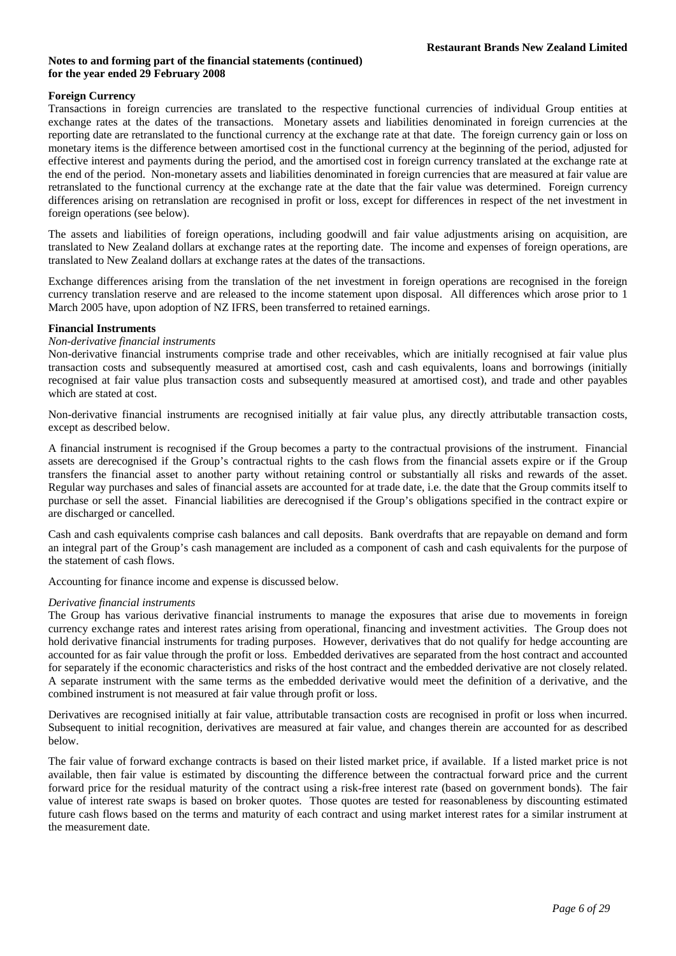# **Foreign Currency**

Transactions in foreign currencies are translated to the respective functional currencies of individual Group entities at exchange rates at the dates of the transactions. Monetary assets and liabilities denominated in foreign currencies at the reporting date are retranslated to the functional currency at the exchange rate at that date. The foreign currency gain or loss on monetary items is the difference between amortised cost in the functional currency at the beginning of the period, adjusted for effective interest and payments during the period, and the amortised cost in foreign currency translated at the exchange rate at the end of the period. Non-monetary assets and liabilities denominated in foreign currencies that are measured at fair value are retranslated to the functional currency at the exchange rate at the date that the fair value was determined. Foreign currency differences arising on retranslation are recognised in profit or loss, except for differences in respect of the net investment in foreign operations (see below).

The assets and liabilities of foreign operations, including goodwill and fair value adjustments arising on acquisition, are translated to New Zealand dollars at exchange rates at the reporting date. The income and expenses of foreign operations, are translated to New Zealand dollars at exchange rates at the dates of the transactions.

Exchange differences arising from the translation of the net investment in foreign operations are recognised in the foreign currency translation reserve and are released to the income statement upon disposal. All differences which arose prior to 1 March 2005 have, upon adoption of NZ IFRS, been transferred to retained earnings.

# **Financial Instruments**

# *Non-derivative financial instruments*

Non-derivative financial instruments comprise trade and other receivables, which are initially recognised at fair value plus transaction costs and subsequently measured at amortised cost, cash and cash equivalents, loans and borrowings (initially recognised at fair value plus transaction costs and subsequently measured at amortised cost), and trade and other payables which are stated at cost.

Non-derivative financial instruments are recognised initially at fair value plus, any directly attributable transaction costs, except as described below.

A financial instrument is recognised if the Group becomes a party to the contractual provisions of the instrument. Financial assets are derecognised if the Group's contractual rights to the cash flows from the financial assets expire or if the Group transfers the financial asset to another party without retaining control or substantially all risks and rewards of the asset. Regular way purchases and sales of financial assets are accounted for at trade date, i.e. the date that the Group commits itself to purchase or sell the asset. Financial liabilities are derecognised if the Group's obligations specified in the contract expire or are discharged or cancelled.

Cash and cash equivalents comprise cash balances and call deposits. Bank overdrafts that are repayable on demand and form an integral part of the Group's cash management are included as a component of cash and cash equivalents for the purpose of the statement of cash flows.

Accounting for finance income and expense is discussed below.

# *Derivative financial instruments*

The Group has various derivative financial instruments to manage the exposures that arise due to movements in foreign currency exchange rates and interest rates arising from operational, financing and investment activities. The Group does not hold derivative financial instruments for trading purposes. However, derivatives that do not qualify for hedge accounting are accounted for as fair value through the profit or loss. Embedded derivatives are separated from the host contract and accounted for separately if the economic characteristics and risks of the host contract and the embedded derivative are not closely related. A separate instrument with the same terms as the embedded derivative would meet the definition of a derivative, and the combined instrument is not measured at fair value through profit or loss.

Derivatives are recognised initially at fair value, attributable transaction costs are recognised in profit or loss when incurred. Subsequent to initial recognition, derivatives are measured at fair value, and changes therein are accounted for as described below.

The fair value of forward exchange contracts is based on their listed market price, if available. If a listed market price is not available, then fair value is estimated by discounting the difference between the contractual forward price and the current forward price for the residual maturity of the contract using a risk-free interest rate (based on government bonds). The fair value of interest rate swaps is based on broker quotes. Those quotes are tested for reasonableness by discounting estimated future cash flows based on the terms and maturity of each contract and using market interest rates for a similar instrument at the measurement date.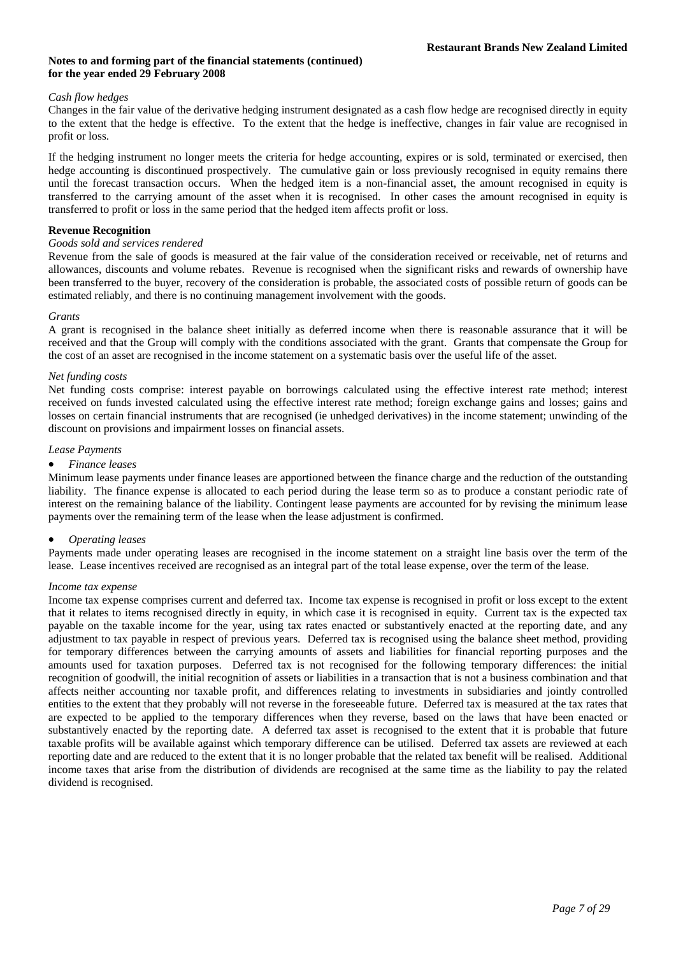# *Cash flow hedges*

Changes in the fair value of the derivative hedging instrument designated as a cash flow hedge are recognised directly in equity to the extent that the hedge is effective. To the extent that the hedge is ineffective, changes in fair value are recognised in profit or loss.

If the hedging instrument no longer meets the criteria for hedge accounting, expires or is sold, terminated or exercised, then hedge accounting is discontinued prospectively. The cumulative gain or loss previously recognised in equity remains there until the forecast transaction occurs. When the hedged item is a non-financial asset, the amount recognised in equity is transferred to the carrying amount of the asset when it is recognised. In other cases the amount recognised in equity is transferred to profit or loss in the same period that the hedged item affects profit or loss.

# **Revenue Recognition**

# *Goods sold and services rendered*

Revenue from the sale of goods is measured at the fair value of the consideration received or receivable, net of returns and allowances, discounts and volume rebates. Revenue is recognised when the significant risks and rewards of ownership have been transferred to the buyer, recovery of the consideration is probable, the associated costs of possible return of goods can be estimated reliably, and there is no continuing management involvement with the goods.

# *Grants*

A grant is recognised in the balance sheet initially as deferred income when there is reasonable assurance that it will be received and that the Group will comply with the conditions associated with the grant. Grants that compensate the Group for the cost of an asset are recognised in the income statement on a systematic basis over the useful life of the asset.

# *Net funding costs*

Net funding costs comprise: interest payable on borrowings calculated using the effective interest rate method; interest received on funds invested calculated using the effective interest rate method; foreign exchange gains and losses; gains and losses on certain financial instruments that are recognised (ie unhedged derivatives) in the income statement; unwinding of the discount on provisions and impairment losses on financial assets.

# *Lease Payments*

### • *Finance leases*

Minimum lease payments under finance leases are apportioned between the finance charge and the reduction of the outstanding liability. The finance expense is allocated to each period during the lease term so as to produce a constant periodic rate of interest on the remaining balance of the liability. Contingent lease payments are accounted for by revising the minimum lease payments over the remaining term of the lease when the lease adjustment is confirmed.

# • *Operating leases*

Payments made under operating leases are recognised in the income statement on a straight line basis over the term of the lease. Lease incentives received are recognised as an integral part of the total lease expense, over the term of the lease.

### *Income tax expense*

Income tax expense comprises current and deferred tax. Income tax expense is recognised in profit or loss except to the extent that it relates to items recognised directly in equity, in which case it is recognised in equity. Current tax is the expected tax payable on the taxable income for the year, using tax rates enacted or substantively enacted at the reporting date, and any adjustment to tax payable in respect of previous years. Deferred tax is recognised using the balance sheet method, providing for temporary differences between the carrying amounts of assets and liabilities for financial reporting purposes and the amounts used for taxation purposes. Deferred tax is not recognised for the following temporary differences: the initial recognition of goodwill, the initial recognition of assets or liabilities in a transaction that is not a business combination and that affects neither accounting nor taxable profit, and differences relating to investments in subsidiaries and jointly controlled entities to the extent that they probably will not reverse in the foreseeable future. Deferred tax is measured at the tax rates that are expected to be applied to the temporary differences when they reverse, based on the laws that have been enacted or substantively enacted by the reporting date. A deferred tax asset is recognised to the extent that it is probable that future taxable profits will be available against which temporary difference can be utilised. Deferred tax assets are reviewed at each reporting date and are reduced to the extent that it is no longer probable that the related tax benefit will be realised. Additional income taxes that arise from the distribution of dividends are recognised at the same time as the liability to pay the related dividend is recognised.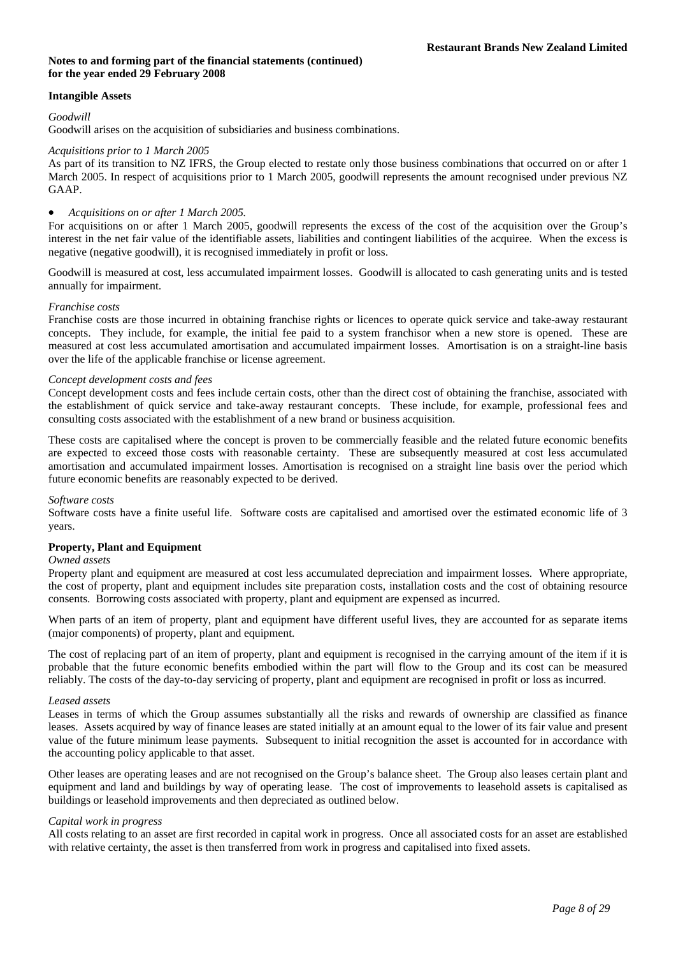# **Intangible Assets**

### *Goodwill*

Goodwill arises on the acquisition of subsidiaries and business combinations.

## *Acquisitions prior to 1 March 2005*

As part of its transition to NZ IFRS, the Group elected to restate only those business combinations that occurred on or after 1 March 2005. In respect of acquisitions prior to 1 March 2005, goodwill represents the amount recognised under previous NZ GAAP.

## • *Acquisitions on or after 1 March 2005.*

For acquisitions on or after 1 March 2005, goodwill represents the excess of the cost of the acquisition over the Group's interest in the net fair value of the identifiable assets, liabilities and contingent liabilities of the acquiree. When the excess is negative (negative goodwill), it is recognised immediately in profit or loss.

Goodwill is measured at cost, less accumulated impairment losses. Goodwill is allocated to cash generating units and is tested annually for impairment.

# *Franchise costs*

Franchise costs are those incurred in obtaining franchise rights or licences to operate quick service and take-away restaurant concepts. They include, for example, the initial fee paid to a system franchisor when a new store is opened. These are measured at cost less accumulated amortisation and accumulated impairment losses. Amortisation is on a straight-line basis over the life of the applicable franchise or license agreement.

### *Concept development costs and fees*

Concept development costs and fees include certain costs, other than the direct cost of obtaining the franchise, associated with the establishment of quick service and take-away restaurant concepts. These include, for example, professional fees and consulting costs associated with the establishment of a new brand or business acquisition.

These costs are capitalised where the concept is proven to be commercially feasible and the related future economic benefits are expected to exceed those costs with reasonable certainty. These are subsequently measured at cost less accumulated amortisation and accumulated impairment losses. Amortisation is recognised on a straight line basis over the period which future economic benefits are reasonably expected to be derived.

### *Software costs*

Software costs have a finite useful life. Software costs are capitalised and amortised over the estimated economic life of 3 years.

# **Property, Plant and Equipment**

### *Owned assets*

Property plant and equipment are measured at cost less accumulated depreciation and impairment losses. Where appropriate, the cost of property, plant and equipment includes site preparation costs, installation costs and the cost of obtaining resource consents. Borrowing costs associated with property, plant and equipment are expensed as incurred.

When parts of an item of property, plant and equipment have different useful lives, they are accounted for as separate items (major components) of property, plant and equipment.

The cost of replacing part of an item of property, plant and equipment is recognised in the carrying amount of the item if it is probable that the future economic benefits embodied within the part will flow to the Group and its cost can be measured reliably. The costs of the day-to-day servicing of property, plant and equipment are recognised in profit or loss as incurred.

### *Leased assets*

Leases in terms of which the Group assumes substantially all the risks and rewards of ownership are classified as finance leases. Assets acquired by way of finance leases are stated initially at an amount equal to the lower of its fair value and present value of the future minimum lease payments. Subsequent to initial recognition the asset is accounted for in accordance with the accounting policy applicable to that asset.

Other leases are operating leases and are not recognised on the Group's balance sheet. The Group also leases certain plant and equipment and land and buildings by way of operating lease. The cost of improvements to leasehold assets is capitalised as buildings or leasehold improvements and then depreciated as outlined below.

### *Capital work in progress*

All costs relating to an asset are first recorded in capital work in progress. Once all associated costs for an asset are established with relative certainty, the asset is then transferred from work in progress and capitalised into fixed assets.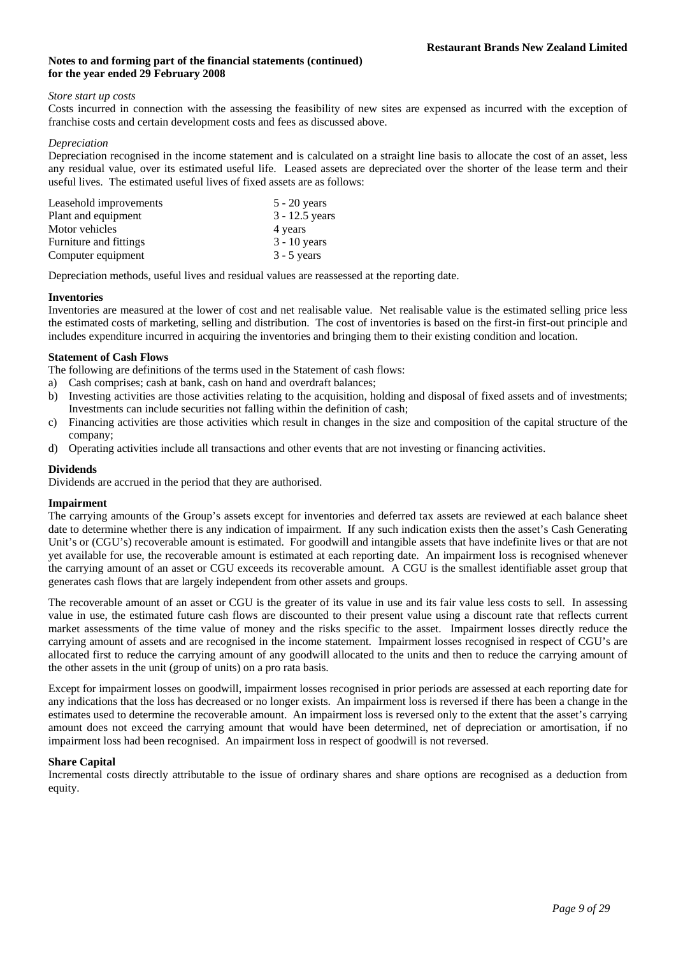## *Store start up costs*

Costs incurred in connection with the assessing the feasibility of new sites are expensed as incurred with the exception of franchise costs and certain development costs and fees as discussed above.

### *Depreciation*

Depreciation recognised in the income statement and is calculated on a straight line basis to allocate the cost of an asset, less any residual value, over its estimated useful life. Leased assets are depreciated over the shorter of the lease term and their useful lives. The estimated useful lives of fixed assets are as follows:

| Leasehold improvements | $5 - 20$ years   |
|------------------------|------------------|
| Plant and equipment    | $3 - 12.5$ years |
| Motor vehicles         | 4 years          |
| Furniture and fittings | $3 - 10$ years   |
| Computer equipment     | $3 - 5$ years    |

Depreciation methods, useful lives and residual values are reassessed at the reporting date.

### **Inventories**

Inventories are measured at the lower of cost and net realisable value. Net realisable value is the estimated selling price less the estimated costs of marketing, selling and distribution. The cost of inventories is based on the first-in first-out principle and includes expenditure incurred in acquiring the inventories and bringing them to their existing condition and location.

# **Statement of Cash Flows**

The following are definitions of the terms used in the Statement of cash flows:

- a) Cash comprises; cash at bank, cash on hand and overdraft balances;
- b) Investing activities are those activities relating to the acquisition, holding and disposal of fixed assets and of investments; Investments can include securities not falling within the definition of cash;
- c) Financing activities are those activities which result in changes in the size and composition of the capital structure of the company;
- d) Operating activities include all transactions and other events that are not investing or financing activities.

# **Dividends**

Dividends are accrued in the period that they are authorised.

# **Impairment**

The carrying amounts of the Group's assets except for inventories and deferred tax assets are reviewed at each balance sheet date to determine whether there is any indication of impairment. If any such indication exists then the asset's Cash Generating Unit's or (CGU's) recoverable amount is estimated. For goodwill and intangible assets that have indefinite lives or that are not yet available for use, the recoverable amount is estimated at each reporting date. An impairment loss is recognised whenever the carrying amount of an asset or CGU exceeds its recoverable amount. A CGU is the smallest identifiable asset group that generates cash flows that are largely independent from other assets and groups.

The recoverable amount of an asset or CGU is the greater of its value in use and its fair value less costs to sell. In assessing value in use, the estimated future cash flows are discounted to their present value using a discount rate that reflects current market assessments of the time value of money and the risks specific to the asset. Impairment losses directly reduce the carrying amount of assets and are recognised in the income statement. Impairment losses recognised in respect of CGU's are allocated first to reduce the carrying amount of any goodwill allocated to the units and then to reduce the carrying amount of the other assets in the unit (group of units) on a pro rata basis.

Except for impairment losses on goodwill, impairment losses recognised in prior periods are assessed at each reporting date for any indications that the loss has decreased or no longer exists. An impairment loss is reversed if there has been a change in the estimates used to determine the recoverable amount. An impairment loss is reversed only to the extent that the asset's carrying amount does not exceed the carrying amount that would have been determined, net of depreciation or amortisation, if no impairment loss had been recognised. An impairment loss in respect of goodwill is not reversed.

# **Share Capital**

Incremental costs directly attributable to the issue of ordinary shares and share options are recognised as a deduction from equity.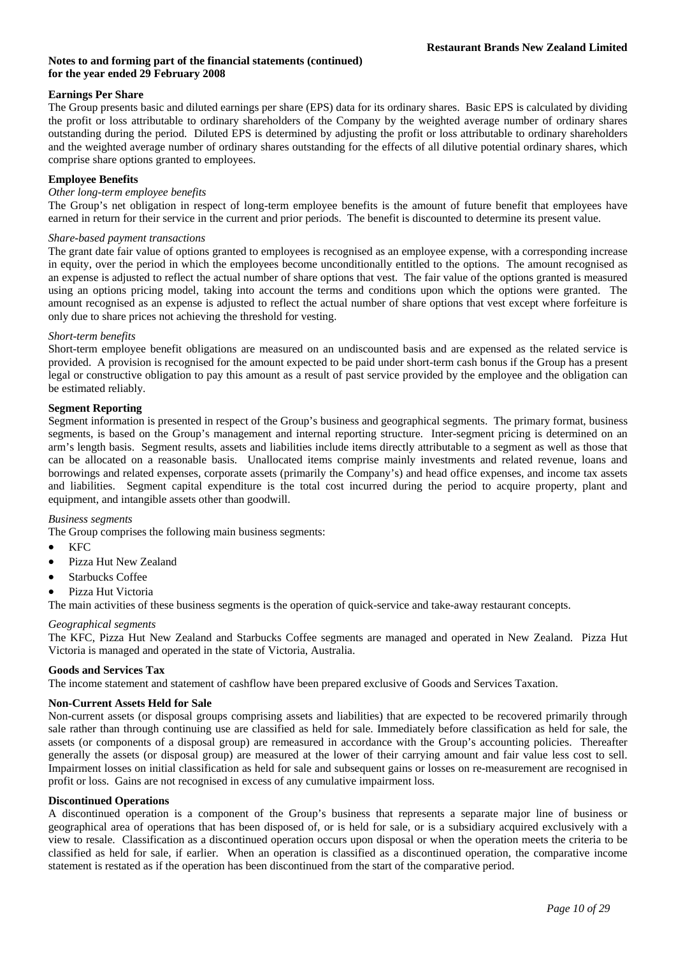# **Earnings Per Share**

The Group presents basic and diluted earnings per share (EPS) data for its ordinary shares. Basic EPS is calculated by dividing the profit or loss attributable to ordinary shareholders of the Company by the weighted average number of ordinary shares outstanding during the period. Diluted EPS is determined by adjusting the profit or loss attributable to ordinary shareholders and the weighted average number of ordinary shares outstanding for the effects of all dilutive potential ordinary shares, which comprise share options granted to employees.

## **Employee Benefits**

# *Other long-term employee benefits*

The Group's net obligation in respect of long-term employee benefits is the amount of future benefit that employees have earned in return for their service in the current and prior periods. The benefit is discounted to determine its present value.

### *Share-based payment transactions*

The grant date fair value of options granted to employees is recognised as an employee expense, with a corresponding increase in equity, over the period in which the employees become unconditionally entitled to the options. The amount recognised as an expense is adjusted to reflect the actual number of share options that vest. The fair value of the options granted is measured using an options pricing model, taking into account the terms and conditions upon which the options were granted. The amount recognised as an expense is adjusted to reflect the actual number of share options that vest except where forfeiture is only due to share prices not achieving the threshold for vesting.

### *Short-term benefits*

Short-term employee benefit obligations are measured on an undiscounted basis and are expensed as the related service is provided. A provision is recognised for the amount expected to be paid under short-term cash bonus if the Group has a present legal or constructive obligation to pay this amount as a result of past service provided by the employee and the obligation can be estimated reliably.

### **Segment Reporting**

Segment information is presented in respect of the Group's business and geographical segments. The primary format, business segments, is based on the Group's management and internal reporting structure. Inter-segment pricing is determined on an arm's length basis. Segment results, assets and liabilities include items directly attributable to a segment as well as those that can be allocated on a reasonable basis. Unallocated items comprise mainly investments and related revenue, loans and borrowings and related expenses, corporate assets (primarily the Company's) and head office expenses, and income tax assets and liabilities. Segment capital expenditure is the total cost incurred during the period to acquire property, plant and equipment, and intangible assets other than goodwill.

### *Business segments*

The Group comprises the following main business segments:

- KFC
- Pizza Hut New Zealand
- Starbucks Coffee
- Pizza Hut Victoria

The main activities of these business segments is the operation of quick-service and take-away restaurant concepts.

### *Geographical segments*

The KFC, Pizza Hut New Zealand and Starbucks Coffee segments are managed and operated in New Zealand. Pizza Hut Victoria is managed and operated in the state of Victoria, Australia.

### **Goods and Services Tax**

The income statement and statement of cashflow have been prepared exclusive of Goods and Services Taxation.

### **Non-Current Assets Held for Sale**

Non-current assets (or disposal groups comprising assets and liabilities) that are expected to be recovered primarily through sale rather than through continuing use are classified as held for sale. Immediately before classification as held for sale, the assets (or components of a disposal group) are remeasured in accordance with the Group's accounting policies. Thereafter generally the assets (or disposal group) are measured at the lower of their carrying amount and fair value less cost to sell. Impairment losses on initial classification as held for sale and subsequent gains or losses on re-measurement are recognised in profit or loss. Gains are not recognised in excess of any cumulative impairment loss.

### **Discontinued Operations**

A discontinued operation is a component of the Group's business that represents a separate major line of business or geographical area of operations that has been disposed of, or is held for sale, or is a subsidiary acquired exclusively with a view to resale. Classification as a discontinued operation occurs upon disposal or when the operation meets the criteria to be classified as held for sale, if earlier. When an operation is classified as a discontinued operation, the comparative income statement is restated as if the operation has been discontinued from the start of the comparative period.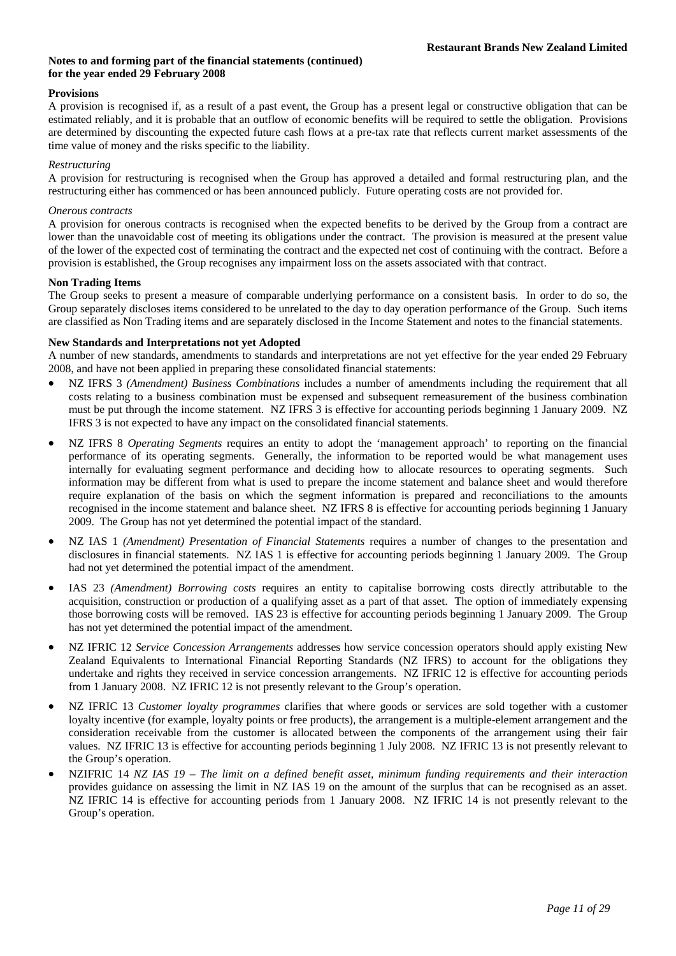# **Provisions**

A provision is recognised if, as a result of a past event, the Group has a present legal or constructive obligation that can be estimated reliably, and it is probable that an outflow of economic benefits will be required to settle the obligation. Provisions are determined by discounting the expected future cash flows at a pre-tax rate that reflects current market assessments of the time value of money and the risks specific to the liability.

### *Restructuring*

A provision for restructuring is recognised when the Group has approved a detailed and formal restructuring plan, and the restructuring either has commenced or has been announced publicly. Future operating costs are not provided for.

### *Onerous contracts*

A provision for onerous contracts is recognised when the expected benefits to be derived by the Group from a contract are lower than the unavoidable cost of meeting its obligations under the contract. The provision is measured at the present value of the lower of the expected cost of terminating the contract and the expected net cost of continuing with the contract. Before a provision is established, the Group recognises any impairment loss on the assets associated with that contract.

### **Non Trading Items**

The Group seeks to present a measure of comparable underlying performance on a consistent basis. In order to do so, the Group separately discloses items considered to be unrelated to the day to day operation performance of the Group. Such items are classified as Non Trading items and are separately disclosed in the Income Statement and notes to the financial statements.

### **New Standards and Interpretations not yet Adopted**

A number of new standards, amendments to standards and interpretations are not yet effective for the year ended 29 February 2008, and have not been applied in preparing these consolidated financial statements:

- NZ IFRS 3 *(Amendment) Business Combinations* includes a number of amendments including the requirement that all costs relating to a business combination must be expensed and subsequent remeasurement of the business combination must be put through the income statement. NZ IFRS 3 is effective for accounting periods beginning 1 January 2009. NZ IFRS 3 is not expected to have any impact on the consolidated financial statements.
- NZ IFRS 8 *Operating Segments* requires an entity to adopt the 'management approach' to reporting on the financial performance of its operating segments. Generally, the information to be reported would be what management uses internally for evaluating segment performance and deciding how to allocate resources to operating segments. Such information may be different from what is used to prepare the income statement and balance sheet and would therefore require explanation of the basis on which the segment information is prepared and reconciliations to the amounts recognised in the income statement and balance sheet. NZ IFRS 8 is effective for accounting periods beginning 1 January 2009. The Group has not yet determined the potential impact of the standard.
- NZ IAS 1 *(Amendment) Presentation of Financial Statements* requires a number of changes to the presentation and disclosures in financial statements. NZ IAS 1 is effective for accounting periods beginning 1 January 2009. The Group had not yet determined the potential impact of the amendment.
- IAS 23 *(Amendment) Borrowing costs* requires an entity to capitalise borrowing costs directly attributable to the acquisition, construction or production of a qualifying asset as a part of that asset. The option of immediately expensing those borrowing costs will be removed. IAS 23 is effective for accounting periods beginning 1 January 2009. The Group has not yet determined the potential impact of the amendment.
- NZ IFRIC 12 *Service Concession Arrangements* addresses how service concession operators should apply existing New Zealand Equivalents to International Financial Reporting Standards (NZ IFRS) to account for the obligations they undertake and rights they received in service concession arrangements. NZ IFRIC 12 is effective for accounting periods from 1 January 2008. NZ IFRIC 12 is not presently relevant to the Group's operation.
- NZ IFRIC 13 *Customer loyalty programmes* clarifies that where goods or services are sold together with a customer loyalty incentive (for example, loyalty points or free products), the arrangement is a multiple-element arrangement and the consideration receivable from the customer is allocated between the components of the arrangement using their fair values. NZ IFRIC 13 is effective for accounting periods beginning 1 July 2008. NZ IFRIC 13 is not presently relevant to the Group's operation.
- NZIFRIC 14 *NZ IAS 19 The limit on a defined benefit asset, minimum funding requirements and their interaction* provides guidance on assessing the limit in NZ IAS 19 on the amount of the surplus that can be recognised as an asset. NZ IFRIC 14 is effective for accounting periods from 1 January 2008. NZ IFRIC 14 is not presently relevant to the Group's operation.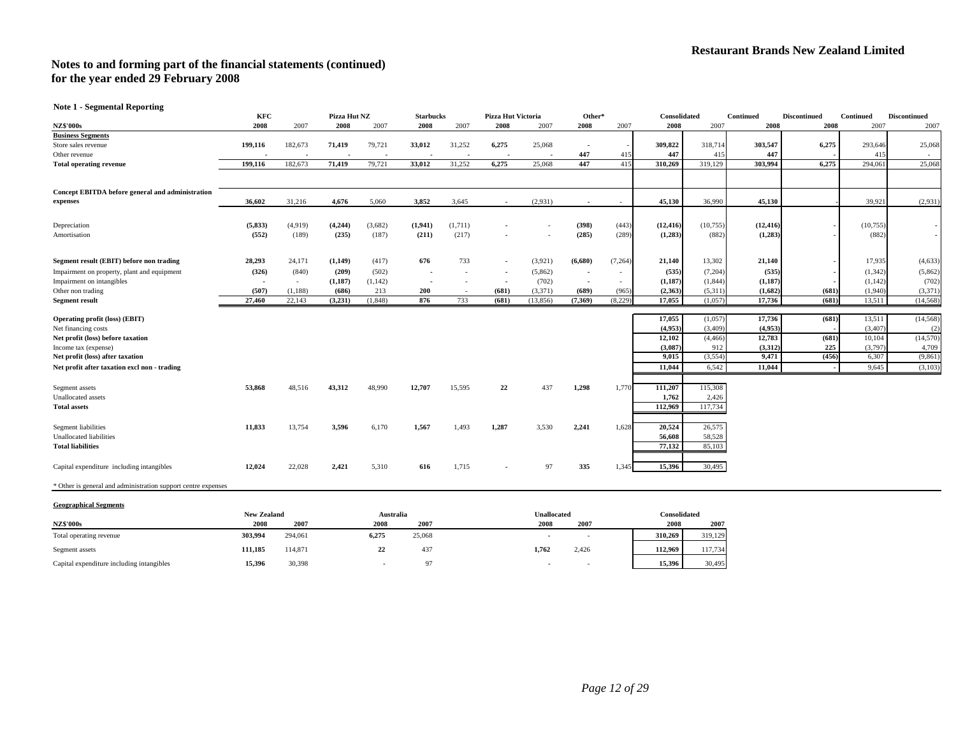**Note 1 - Segmental Reporting** 

|                                                               | <b>KFC</b> |         | Pizza Hut NZ |         | <b>Starbucks</b> |         | Pizza Hut Victoria       |          | Other*                   |         | Consolidated |          | Continued | <b>Discontinued</b> | Continued | <b>Discontinued</b> |
|---------------------------------------------------------------|------------|---------|--------------|---------|------------------|---------|--------------------------|----------|--------------------------|---------|--------------|----------|-----------|---------------------|-----------|---------------------|
| <b>NZ\$'000s</b>                                              | 2008       | 2007    | 2008         | 2007    | 2008             | 2007    | 2008                     | 2007     | 2008                     | 2007    | 2008         | 2007     | 2008      | 2008                | 2007      | 2007                |
| <b>Business Segments</b>                                      |            |         |              |         |                  |         |                          |          |                          |         |              |          |           |                     |           |                     |
| Store sales revenue                                           | 199,116    | 182,673 | 71,419       | 79,721  | 33,012           | 31,252  | 6,275                    | 25,068   |                          |         | 309,822      | 318,714  | 303,547   | 6,275               | 293,646   | 25,068              |
| Other revenue                                                 |            |         |              |         |                  |         |                          |          | 447                      | 415     | 447          | 415      | 447       |                     | 41:       |                     |
| <b>Total operating revenue</b>                                | 199,116    | 182,673 | 71,419       | 79,721  | 33,012           | 31,252  | 6,275                    | 25,068   | 447                      | 415     | 310,269      | 319,129  | 303,994   | 6,275               | 294,061   | 25,068              |
|                                                               |            |         |              |         |                  |         |                          |          |                          |         |              |          |           |                     |           |                     |
| Concept EBITDA before general and administration              |            |         |              |         |                  |         |                          |          |                          |         |              |          |           |                     |           |                     |
| expenses                                                      | 36,602     | 31,216  | 4,676        | 5,060   | 3,852            | 3,645   | $\sim$                   | (2,931)  | $\overline{\phantom{a}}$ | $\sim$  | 45,130       | 36,990   | 45,130    |                     | 39,921    | (2,931)             |
| Depreciation                                                  | (5, 833)   | (4,919) | (4,244)      | (3,682) | (1,941)          | (1,711) |                          |          | (398)                    | (443)   | (12, 416)    | (10,755) | (12, 416) |                     | (10,755)  |                     |
| Amortisation                                                  | (552)      | (189)   | (235)        | (187)   | (211)            | (217)   |                          |          | (285)                    | (289)   | (1,283)      | (882)    | (1,283)   |                     | (882)     |                     |
|                                                               |            |         |              |         |                  |         |                          |          |                          |         |              |          |           |                     |           |                     |
| Segment result (EBIT) before non trading                      | 28,293     | 24,171  | (1,149)      | (417)   | 676              | 733     | $\sim$                   | (3,921)  | (6,680)                  | (7,264) | 21,140       | 13,302   | 21,140    |                     | 17,935    | (4,633)             |
| Impairment on property, plant and equipment                   | (326)      | (840)   | (209)        | (502)   |                  |         | $\overline{\phantom{a}}$ | (5,862)  | $\overline{\phantom{a}}$ | $\sim$  | (535)        | (7,204)  | (535)     |                     | (1, 342)  | (5,862)             |
| Impairment on intangibles                                     |            | $\sim$  | (1,187)      | (1,142) |                  |         | $\overline{\phantom{a}}$ | (702)    | $\overline{\phantom{a}}$ | $\sim$  | (1,187)      | (1,844)  | (1, 187)  |                     | (1,142)   | (702)               |
| Other non trading                                             | (507)      | (1,188) | (686)        | 213     | 200              | $\sim$  | (681)                    | (3,371)  | (689)                    | (965)   | (2,363)      | (5,311)  | (1,682)   | (681)               | (1,940)   | (3,371)             |
| <b>Segment result</b>                                         | 27,460     | 22,143  | (3,231)      | (1,848) | 876              | 733     | (681)                    | (13,856) | (7, 369)                 | (8,229) | 17,055       | (1,057)  | 17,736    | (681)               | 13,511    | (14, 568)           |
|                                                               |            |         |              |         |                  |         |                          |          |                          |         |              |          |           |                     |           |                     |
| Operating profit (loss) (EBIT)                                |            |         |              |         |                  |         |                          |          |                          |         | 17,055       | (1,057)  | 17,736    | (681)               | 13,511    | (14, 568)           |
| Net financing costs                                           |            |         |              |         |                  |         |                          |          |                          |         | (4,953)      | (3,409)  | (4,953)   |                     | (3,407)   | (2)                 |
| Net profit (loss) before taxation                             |            |         |              |         |                  |         |                          |          |                          |         | 12,102       | (4, 466) | 12,783    | (681)               | 10,104    | (14,570)            |
| Income tax (expense)                                          |            |         |              |         |                  |         |                          |          |                          |         | (3,087)      | 912      | (3,312)   | 225                 | (3,797)   | 4,709               |
| Net profit (loss) after taxation                              |            |         |              |         |                  |         |                          |          |                          |         | 9,015        | (3, 554) | 9,471     | (456)               | 6,307     | (9, 861)            |
| Net profit after taxation excl non - trading                  |            |         |              |         |                  |         |                          |          |                          |         | 11.044       | 6,542    | 11,044    |                     | 9.645     | (3,103)             |
| Segment assets                                                | 53,868     | 48,516  | 43,312       | 48,990  | 12,707           | 15,595  | 22                       | 437      | 1,298                    | 1,770   | 111,207      | 115,308  |           |                     |           |                     |
| Unallocated assets                                            |            |         |              |         |                  |         |                          |          |                          |         | 1,762        | 2,426    |           |                     |           |                     |
| <b>Total assets</b>                                           |            |         |              |         |                  |         |                          |          |                          |         | 112.969      | 117,734  |           |                     |           |                     |
| Segment liabilities                                           | 11,833     | 13,754  | 3,596        | 6,170   | 1,567            | 1,493   | 1,287                    | 3,530    | 2,241                    | 1,628   | 20,524       | 26,575   |           |                     |           |                     |
| Unallocated liabilities                                       |            |         |              |         |                  |         |                          |          |                          |         | 56,608       | 58,528   |           |                     |           |                     |
| <b>Total liabilities</b>                                      |            |         |              |         |                  |         |                          |          |                          |         | 77,132       | 85,103   |           |                     |           |                     |
|                                                               |            |         |              |         |                  |         |                          |          |                          |         |              |          |           |                     |           |                     |
| Capital expenditure including intangibles                     | 12,024     | 22,028  | 2,421        | 5,310   | 616              | 1,715   | $\blacksquare$           | 97       | 335                      | 1,345   | 15,396       | 30,495   |           |                     |           |                     |
| * Other is general and administration support centre expenses |            |         |              |         |                  |         |                          |          |                          |         |              |          |           |                     |           |                     |

#### **Geographical Segments**

|                                           | <b>New Zealand</b> |         |          | Australia |       | Unallocated              |         |         |
|-------------------------------------------|--------------------|---------|----------|-----------|-------|--------------------------|---------|---------|
| <b>NZ\$'000s</b>                          | 2008               | 2007    | 2008     | 2007      | 2008  | 2007                     | 2008    | 2007    |
| Total operating revenue                   | 303.994            | 294.061 | 6.275    | 25,068    |       |                          | 310.269 | 319.129 |
| Segment assets                            | 111.185            | 114,871 | 22<br>44 | 437       | 1.762 | 2.426                    | 112.969 | 117,734 |
| Capital expenditure including intangibles | 15.396             | 30,398  |          | 97        |       | $\overline{\phantom{a}}$ | 15.396  | 30.495  |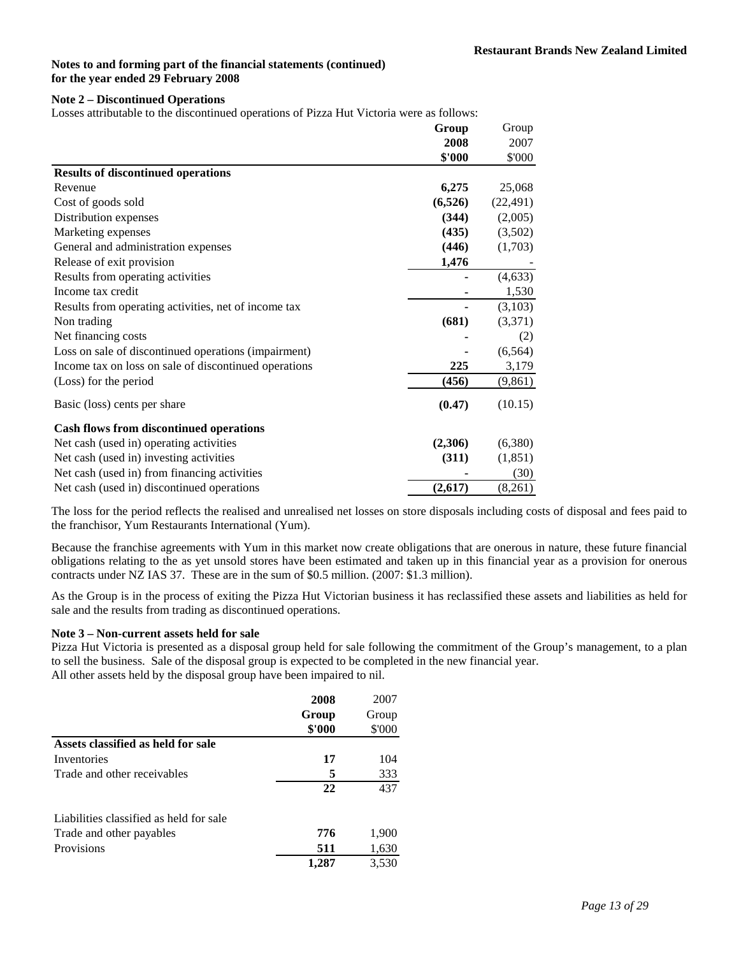### **Note 2 – Discontinued Operations**

Losses attributable to the discontinued operations of Pizza Hut Victoria were as follows:

|                                                       | Group    | Group     |
|-------------------------------------------------------|----------|-----------|
|                                                       | 2008     | 2007      |
|                                                       | \$'000   | \$'000    |
| <b>Results of discontinued operations</b>             |          |           |
| Revenue                                               | 6,275    | 25,068    |
| Cost of goods sold                                    | (6, 526) | (22, 491) |
| Distribution expenses                                 | (344)    | (2,005)   |
| Marketing expenses                                    | (435)    | (3,502)   |
| General and administration expenses                   | (446)    | (1,703)   |
| Release of exit provision                             | 1,476    |           |
| Results from operating activities                     |          | (4, 633)  |
| Income tax credit                                     |          | 1,530     |
| Results from operating activities, net of income tax  |          | (3,103)   |
| Non trading                                           | (681)    | (3,371)   |
| Net financing costs                                   |          | (2)       |
| Loss on sale of discontinued operations (impairment)  |          | (6, 564)  |
| Income tax on loss on sale of discontinued operations | 225      | 3,179     |
| (Loss) for the period                                 | (456)    | (9, 861)  |
| Basic (loss) cents per share                          | (0.47)   | (10.15)   |
| <b>Cash flows from discontinued operations</b>        |          |           |
| Net cash (used in) operating activities               | (2,306)  | (6,380)   |
| Net cash (used in) investing activities               | (311)    | (1,851)   |
| Net cash (used in) from financing activities          |          | (30)      |
| Net cash (used in) discontinued operations            | (2,617)  | (8,261)   |

The loss for the period reflects the realised and unrealised net losses on store disposals including costs of disposal and fees paid to the franchisor, Yum Restaurants International (Yum).

Because the franchise agreements with Yum in this market now create obligations that are onerous in nature, these future financial obligations relating to the as yet unsold stores have been estimated and taken up in this financial year as a provision for onerous contracts under NZ IAS 37. These are in the sum of \$0.5 million. (2007: \$1.3 million).

As the Group is in the process of exiting the Pizza Hut Victorian business it has reclassified these assets and liabilities as held for sale and the results from trading as discontinued operations.

# **Note 3 – Non-current assets held for sale**

Pizza Hut Victoria is presented as a disposal group held for sale following the commitment of the Group's management, to a plan to sell the business. Sale of the disposal group is expected to be completed in the new financial year. All other assets held by the disposal group have been impaired to nil.

|                                         | 2008   | 2007   |
|-----------------------------------------|--------|--------|
|                                         | Group  | Group  |
|                                         | \$'000 | \$'000 |
| Assets classified as held for sale      |        |        |
| Inventories                             | 17     | 104    |
| Trade and other receivables             | 5      | 333    |
|                                         | 22     | 437    |
| Liabilities classified as held for sale |        |        |
| Trade and other payables                | 776    | 1,900  |
| Provisions                              | 511    | 1,630  |
|                                         | 1.287  | 3,530  |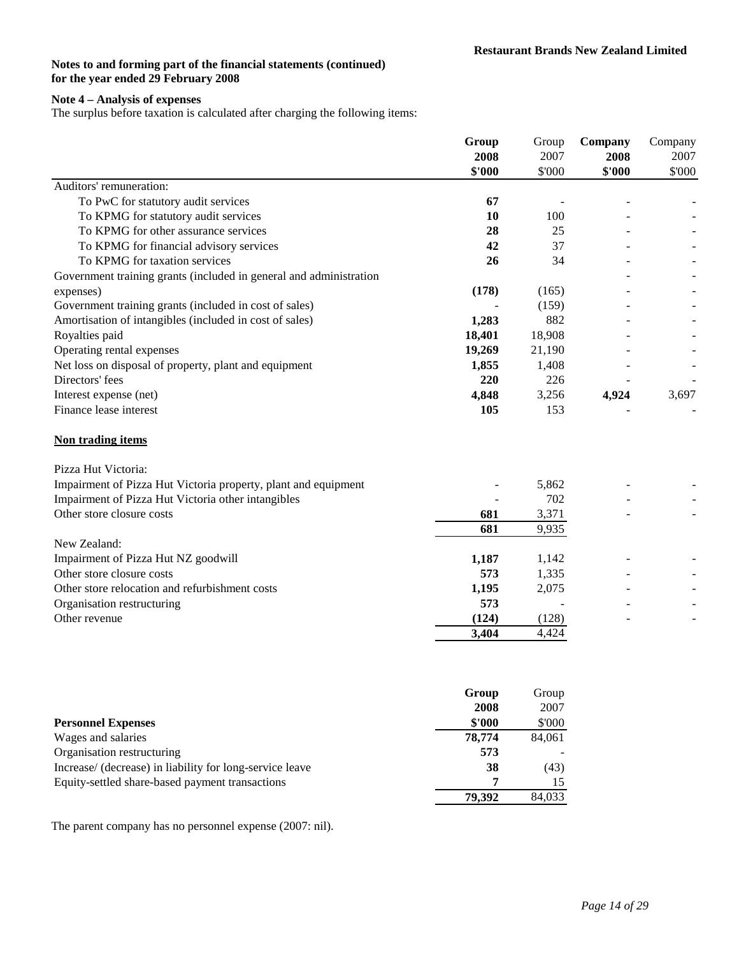# **Note 4 – Analysis of expenses**

The surplus before taxation is calculated after charging the following items:

|                                                                    | Group<br>2008<br>\$'000 | Group<br>2007<br>\$'000 | Company<br>2008<br>\$'000 | Company<br>2007<br>\$'000 |
|--------------------------------------------------------------------|-------------------------|-------------------------|---------------------------|---------------------------|
| Auditors' remuneration:                                            |                         |                         |                           |                           |
| To PwC for statutory audit services                                | 67                      |                         |                           |                           |
| To KPMG for statutory audit services                               | 10                      | 100                     |                           |                           |
| To KPMG for other assurance services                               | 28                      | 25                      |                           |                           |
| To KPMG for financial advisory services                            | 42                      | 37                      |                           |                           |
| To KPMG for taxation services                                      | 26                      | 34                      |                           |                           |
| Government training grants (included in general and administration |                         |                         |                           |                           |
| expenses)                                                          | (178)                   | (165)                   |                           |                           |
| Government training grants (included in cost of sales)             |                         | (159)                   |                           |                           |
| Amortisation of intangibles (included in cost of sales)            | 1,283                   | 882                     |                           |                           |
| Royalties paid                                                     | 18,401                  | 18,908                  |                           |                           |
| Operating rental expenses                                          | 19,269                  | 21,190                  |                           |                           |
| Net loss on disposal of property, plant and equipment              | 1,855                   | 1,408                   |                           |                           |
| Directors' fees                                                    | 220                     | 226                     |                           |                           |
| Interest expense (net)                                             | 4,848                   | 3,256                   | 4,924                     | 3,697                     |
| Finance lease interest                                             | 105                     | 153                     |                           |                           |
| Non trading items                                                  |                         |                         |                           |                           |
| Pizza Hut Victoria:                                                |                         |                         |                           |                           |
| Impairment of Pizza Hut Victoria property, plant and equipment     |                         | 5,862                   |                           |                           |
| Impairment of Pizza Hut Victoria other intangibles                 |                         | 702                     |                           |                           |
| Other store closure costs                                          | 681                     | 3,371                   |                           |                           |
|                                                                    | 681                     | 9,935                   |                           |                           |
| New Zealand:                                                       |                         |                         |                           |                           |
| Impairment of Pizza Hut NZ goodwill                                | 1,187                   | 1,142                   |                           |                           |
| Other store closure costs                                          | 573                     | 1,335                   |                           |                           |
| Other store relocation and refurbishment costs                     | 1,195                   | 2,075                   |                           |                           |
| Organisation restructuring                                         | 573                     |                         |                           |                           |
| Other revenue                                                      | (124)                   | (128)                   |                           |                           |
|                                                                    | 3,404                   | 4,424                   |                           |                           |
|                                                                    |                         |                         |                           |                           |
|                                                                    | Group                   | Group                   |                           |                           |
|                                                                    | 2008                    | 2007                    |                           |                           |
| <b>Personnel Expenses</b>                                          | \$'000                  | \$'000                  |                           |                           |
| Wages and salaries                                                 | 78,774                  | 84,061                  |                           |                           |
| Organisation restructuring                                         | 573                     |                         |                           |                           |
| Increase/ (decrease) in liability for long-service leave           | 38                      | (43)                    |                           |                           |
| Equity-settled share-based payment transactions                    | 7                       | 15                      |                           |                           |
|                                                                    | 79,392                  | 84,033                  |                           |                           |

The parent company has no personnel expense (2007: nil).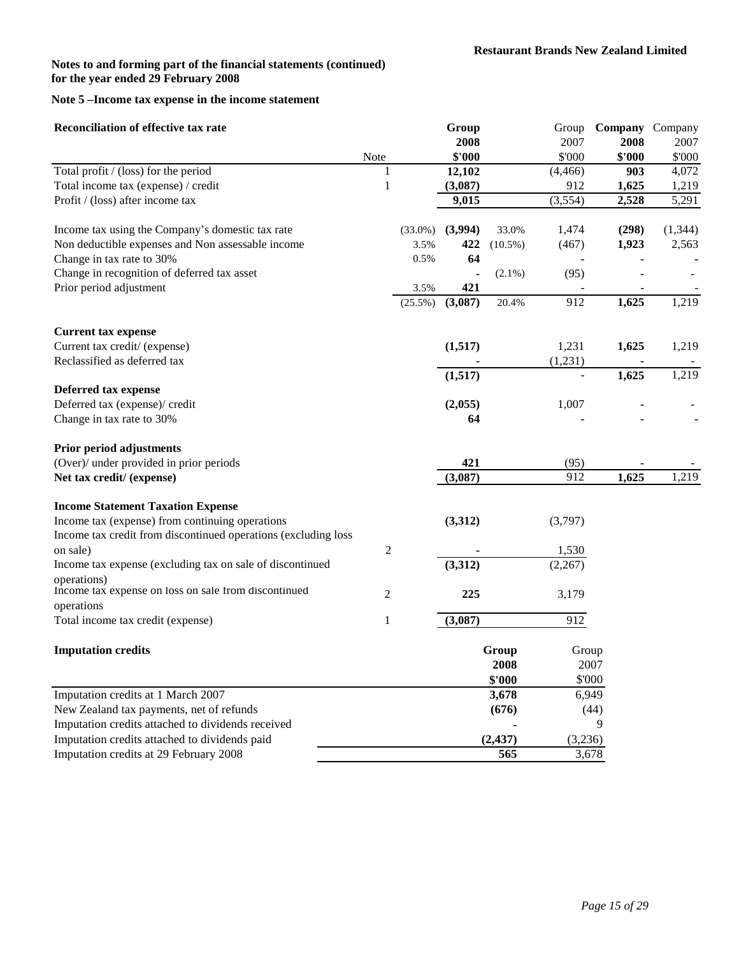# **Note 5 –Income tax expense in the income statement**

| 2008<br>2007<br>2008<br>Note<br>\$'000<br>\$'000<br>\$'000<br>Total profit / (loss) for the period<br>$\mathbf{1}$<br>12,102<br>(4, 466)<br>903<br>$\,1$<br>912<br>Total income tax (expense) / credit<br>(3,087)<br>1,625<br>Profit / (loss) after income tax<br>9,015<br>(3, 554)<br>2,528<br>(3,994)<br>Income tax using the Company's domestic tax rate<br>33.0%<br>1,474<br>(298)<br>$(33.0\%)$<br>Non deductible expenses and Non assessable income<br>1,923<br>3.5%<br>422<br>$(10.5\%)$<br>(467)<br>Change in tax rate to 30%<br>64<br>0.5%<br>Change in recognition of deferred tax asset<br>(95)<br>$(2.1\%)$<br>Prior period adjustment<br>421<br>3.5%<br>1,625<br>(3,087)<br>912<br>20.4%<br>(25.5%)<br><b>Current tax expense</b><br>Current tax credit/ (expense)<br>1,231<br>1,625<br>(1,517)<br>Reclassified as deferred tax<br>(1,231)<br>(1,517)<br>1,625<br>Deferred tax expense<br>Deferred tax (expense)/ credit<br>(2,055)<br>1,007<br>Change in tax rate to 30%<br>64<br><b>Prior period adjustments</b><br>(Over)/ under provided in prior periods<br>421<br>(95)<br>912<br>1,625<br>1,219<br>Net tax credit/ (expense)<br>(3,087)<br><b>Income Statement Taxation Expense</b> | <b>Reconciliation of effective tax rate</b> |  | Group | Group | Company Company |          |
|--------------------------------------------------------------------------------------------------------------------------------------------------------------------------------------------------------------------------------------------------------------------------------------------------------------------------------------------------------------------------------------------------------------------------------------------------------------------------------------------------------------------------------------------------------------------------------------------------------------------------------------------------------------------------------------------------------------------------------------------------------------------------------------------------------------------------------------------------------------------------------------------------------------------------------------------------------------------------------------------------------------------------------------------------------------------------------------------------------------------------------------------------------------------------------------------------------|---------------------------------------------|--|-------|-------|-----------------|----------|
|                                                                                                                                                                                                                                                                                                                                                                                                                                                                                                                                                                                                                                                                                                                                                                                                                                                                                                                                                                                                                                                                                                                                                                                                        |                                             |  |       |       |                 | 2007     |
|                                                                                                                                                                                                                                                                                                                                                                                                                                                                                                                                                                                                                                                                                                                                                                                                                                                                                                                                                                                                                                                                                                                                                                                                        |                                             |  |       |       |                 | \$'000   |
|                                                                                                                                                                                                                                                                                                                                                                                                                                                                                                                                                                                                                                                                                                                                                                                                                                                                                                                                                                                                                                                                                                                                                                                                        |                                             |  |       |       |                 | 4,072    |
|                                                                                                                                                                                                                                                                                                                                                                                                                                                                                                                                                                                                                                                                                                                                                                                                                                                                                                                                                                                                                                                                                                                                                                                                        |                                             |  |       |       |                 | 1,219    |
|                                                                                                                                                                                                                                                                                                                                                                                                                                                                                                                                                                                                                                                                                                                                                                                                                                                                                                                                                                                                                                                                                                                                                                                                        |                                             |  |       |       |                 | 5,291    |
|                                                                                                                                                                                                                                                                                                                                                                                                                                                                                                                                                                                                                                                                                                                                                                                                                                                                                                                                                                                                                                                                                                                                                                                                        |                                             |  |       |       |                 | (1, 344) |
|                                                                                                                                                                                                                                                                                                                                                                                                                                                                                                                                                                                                                                                                                                                                                                                                                                                                                                                                                                                                                                                                                                                                                                                                        |                                             |  |       |       |                 | 2,563    |
|                                                                                                                                                                                                                                                                                                                                                                                                                                                                                                                                                                                                                                                                                                                                                                                                                                                                                                                                                                                                                                                                                                                                                                                                        |                                             |  |       |       |                 |          |
|                                                                                                                                                                                                                                                                                                                                                                                                                                                                                                                                                                                                                                                                                                                                                                                                                                                                                                                                                                                                                                                                                                                                                                                                        |                                             |  |       |       |                 |          |
|                                                                                                                                                                                                                                                                                                                                                                                                                                                                                                                                                                                                                                                                                                                                                                                                                                                                                                                                                                                                                                                                                                                                                                                                        |                                             |  |       |       |                 |          |
|                                                                                                                                                                                                                                                                                                                                                                                                                                                                                                                                                                                                                                                                                                                                                                                                                                                                                                                                                                                                                                                                                                                                                                                                        |                                             |  |       |       |                 | 1,219    |
|                                                                                                                                                                                                                                                                                                                                                                                                                                                                                                                                                                                                                                                                                                                                                                                                                                                                                                                                                                                                                                                                                                                                                                                                        |                                             |  |       |       |                 |          |
|                                                                                                                                                                                                                                                                                                                                                                                                                                                                                                                                                                                                                                                                                                                                                                                                                                                                                                                                                                                                                                                                                                                                                                                                        |                                             |  |       |       |                 | 1,219    |
|                                                                                                                                                                                                                                                                                                                                                                                                                                                                                                                                                                                                                                                                                                                                                                                                                                                                                                                                                                                                                                                                                                                                                                                                        |                                             |  |       |       |                 |          |
|                                                                                                                                                                                                                                                                                                                                                                                                                                                                                                                                                                                                                                                                                                                                                                                                                                                                                                                                                                                                                                                                                                                                                                                                        |                                             |  |       |       |                 | 1,219    |
|                                                                                                                                                                                                                                                                                                                                                                                                                                                                                                                                                                                                                                                                                                                                                                                                                                                                                                                                                                                                                                                                                                                                                                                                        |                                             |  |       |       |                 |          |
|                                                                                                                                                                                                                                                                                                                                                                                                                                                                                                                                                                                                                                                                                                                                                                                                                                                                                                                                                                                                                                                                                                                                                                                                        |                                             |  |       |       |                 |          |
|                                                                                                                                                                                                                                                                                                                                                                                                                                                                                                                                                                                                                                                                                                                                                                                                                                                                                                                                                                                                                                                                                                                                                                                                        |                                             |  |       |       |                 |          |
|                                                                                                                                                                                                                                                                                                                                                                                                                                                                                                                                                                                                                                                                                                                                                                                                                                                                                                                                                                                                                                                                                                                                                                                                        |                                             |  |       |       |                 |          |
|                                                                                                                                                                                                                                                                                                                                                                                                                                                                                                                                                                                                                                                                                                                                                                                                                                                                                                                                                                                                                                                                                                                                                                                                        |                                             |  |       |       |                 |          |
|                                                                                                                                                                                                                                                                                                                                                                                                                                                                                                                                                                                                                                                                                                                                                                                                                                                                                                                                                                                                                                                                                                                                                                                                        |                                             |  |       |       |                 |          |
|                                                                                                                                                                                                                                                                                                                                                                                                                                                                                                                                                                                                                                                                                                                                                                                                                                                                                                                                                                                                                                                                                                                                                                                                        |                                             |  |       |       |                 |          |
| Income tax (expense) from continuing operations<br>(3,312)<br>(3,797)                                                                                                                                                                                                                                                                                                                                                                                                                                                                                                                                                                                                                                                                                                                                                                                                                                                                                                                                                                                                                                                                                                                                  |                                             |  |       |       |                 |          |
| Income tax credit from discontinued operations (excluding loss                                                                                                                                                                                                                                                                                                                                                                                                                                                                                                                                                                                                                                                                                                                                                                                                                                                                                                                                                                                                                                                                                                                                         |                                             |  |       |       |                 |          |
| $\boldsymbol{2}$<br>1,530<br>on sale)                                                                                                                                                                                                                                                                                                                                                                                                                                                                                                                                                                                                                                                                                                                                                                                                                                                                                                                                                                                                                                                                                                                                                                  |                                             |  |       |       |                 |          |
| (3,312)<br>Income tax expense (excluding tax on sale of discontinued<br>(2,267)                                                                                                                                                                                                                                                                                                                                                                                                                                                                                                                                                                                                                                                                                                                                                                                                                                                                                                                                                                                                                                                                                                                        |                                             |  |       |       |                 |          |
| operations)<br>Income tax expense on loss on sale from discontinued                                                                                                                                                                                                                                                                                                                                                                                                                                                                                                                                                                                                                                                                                                                                                                                                                                                                                                                                                                                                                                                                                                                                    |                                             |  |       |       |                 |          |
| $\overline{c}$<br>3,179<br>225<br>operations                                                                                                                                                                                                                                                                                                                                                                                                                                                                                                                                                                                                                                                                                                                                                                                                                                                                                                                                                                                                                                                                                                                                                           |                                             |  |       |       |                 |          |
| 912<br>Total income tax credit (expense)<br>$\mathbf{1}$<br>(3,087)                                                                                                                                                                                                                                                                                                                                                                                                                                                                                                                                                                                                                                                                                                                                                                                                                                                                                                                                                                                                                                                                                                                                    |                                             |  |       |       |                 |          |
| <b>Imputation credits</b><br>Group<br>Group                                                                                                                                                                                                                                                                                                                                                                                                                                                                                                                                                                                                                                                                                                                                                                                                                                                                                                                                                                                                                                                                                                                                                            |                                             |  |       |       |                 |          |
| 2008<br>2007                                                                                                                                                                                                                                                                                                                                                                                                                                                                                                                                                                                                                                                                                                                                                                                                                                                                                                                                                                                                                                                                                                                                                                                           |                                             |  |       |       |                 |          |
| \$'000<br>\$'000                                                                                                                                                                                                                                                                                                                                                                                                                                                                                                                                                                                                                                                                                                                                                                                                                                                                                                                                                                                                                                                                                                                                                                                       |                                             |  |       |       |                 |          |
| Imputation credits at 1 March 2007<br>6,949<br>3,678                                                                                                                                                                                                                                                                                                                                                                                                                                                                                                                                                                                                                                                                                                                                                                                                                                                                                                                                                                                                                                                                                                                                                   |                                             |  |       |       |                 |          |
| (676)<br>New Zealand tax payments, net of refunds<br>(44)                                                                                                                                                                                                                                                                                                                                                                                                                                                                                                                                                                                                                                                                                                                                                                                                                                                                                                                                                                                                                                                                                                                                              |                                             |  |       |       |                 |          |
| Imputation credits attached to dividends received<br>9                                                                                                                                                                                                                                                                                                                                                                                                                                                                                                                                                                                                                                                                                                                                                                                                                                                                                                                                                                                                                                                                                                                                                 |                                             |  |       |       |                 |          |
| Imputation credits attached to dividends paid<br>(2, 437)<br>(3,236)                                                                                                                                                                                                                                                                                                                                                                                                                                                                                                                                                                                                                                                                                                                                                                                                                                                                                                                                                                                                                                                                                                                                   |                                             |  |       |       |                 |          |
| Imputation credits at 29 February 2008<br>565<br>3,678                                                                                                                                                                                                                                                                                                                                                                                                                                                                                                                                                                                                                                                                                                                                                                                                                                                                                                                                                                                                                                                                                                                                                 |                                             |  |       |       |                 |          |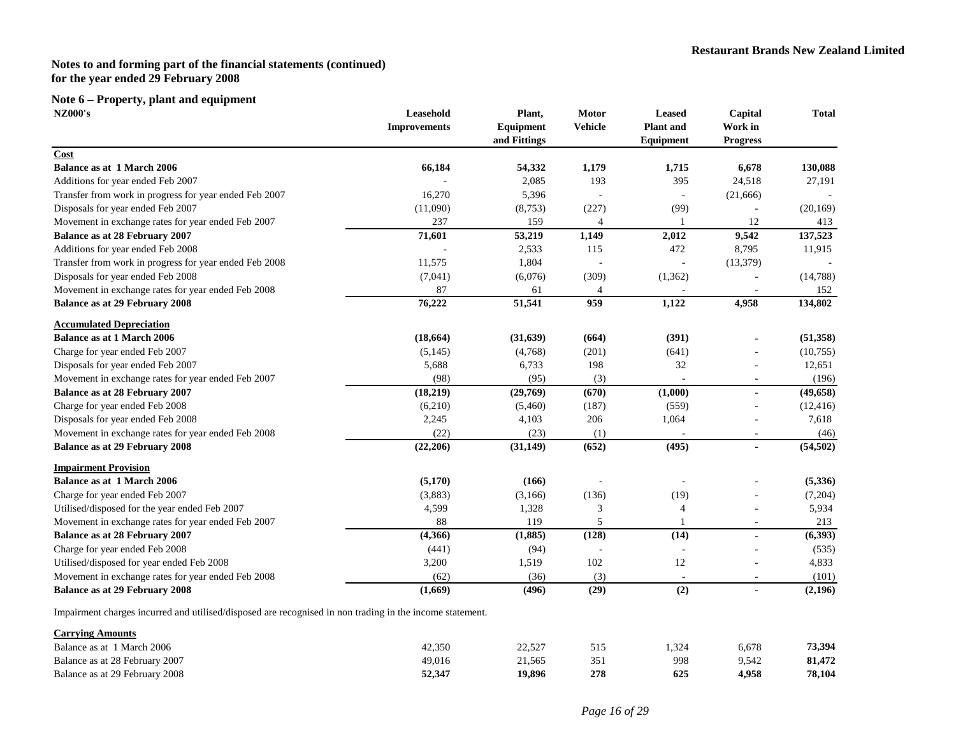# **Note 6 – Property, plant and equipment**

| <b>Improvements</b><br>66,184<br>16,270<br>(11,090)<br>237<br>71,601<br>11,575<br>(7,041)<br>87<br>76,222 | Equipment<br>and Fittings<br>54,332<br>2,085<br>5,396<br>(8,753)<br>159<br>53,219<br>2,533<br>1,804<br>(6,076)<br>61<br>51,541 | <b>Vehicle</b><br>1,179<br>193<br>(227)<br>$\overline{4}$<br>1,149<br>115<br>(309)<br>959 | <b>Plant</b> and<br>Equipment<br>1,715<br>395<br>(99)<br>2,012<br>472<br>(1,362)<br>1,122 | Work in<br><b>Progress</b><br>6,678<br>24,518<br>(21,666)<br>12<br>9,542<br>8,795<br>(13, 379)<br>4,958 | 130,088<br>27,191<br>(20, 169)<br>413<br>137,523<br>11,915<br>(14, 788)<br>152<br>134,802 |
|-----------------------------------------------------------------------------------------------------------|--------------------------------------------------------------------------------------------------------------------------------|-------------------------------------------------------------------------------------------|-------------------------------------------------------------------------------------------|---------------------------------------------------------------------------------------------------------|-------------------------------------------------------------------------------------------|
|                                                                                                           |                                                                                                                                |                                                                                           |                                                                                           |                                                                                                         |                                                                                           |
|                                                                                                           |                                                                                                                                |                                                                                           |                                                                                           |                                                                                                         |                                                                                           |
|                                                                                                           |                                                                                                                                |                                                                                           |                                                                                           |                                                                                                         |                                                                                           |
|                                                                                                           |                                                                                                                                |                                                                                           |                                                                                           |                                                                                                         |                                                                                           |
|                                                                                                           |                                                                                                                                |                                                                                           |                                                                                           |                                                                                                         |                                                                                           |
|                                                                                                           |                                                                                                                                |                                                                                           |                                                                                           |                                                                                                         |                                                                                           |
|                                                                                                           |                                                                                                                                |                                                                                           |                                                                                           |                                                                                                         |                                                                                           |
|                                                                                                           |                                                                                                                                |                                                                                           |                                                                                           |                                                                                                         |                                                                                           |
|                                                                                                           |                                                                                                                                |                                                                                           |                                                                                           |                                                                                                         |                                                                                           |
|                                                                                                           |                                                                                                                                |                                                                                           |                                                                                           |                                                                                                         |                                                                                           |
|                                                                                                           |                                                                                                                                |                                                                                           |                                                                                           |                                                                                                         |                                                                                           |
|                                                                                                           |                                                                                                                                |                                                                                           |                                                                                           |                                                                                                         |                                                                                           |
|                                                                                                           |                                                                                                                                |                                                                                           |                                                                                           |                                                                                                         |                                                                                           |
|                                                                                                           |                                                                                                                                |                                                                                           |                                                                                           |                                                                                                         |                                                                                           |
|                                                                                                           |                                                                                                                                |                                                                                           |                                                                                           |                                                                                                         |                                                                                           |
| (18, 664)                                                                                                 | (31, 639)                                                                                                                      | (664)                                                                                     | (391)                                                                                     |                                                                                                         | (51, 358)                                                                                 |
| (5,145)                                                                                                   | (4,768)                                                                                                                        | (201)                                                                                     | (641)                                                                                     |                                                                                                         | (10,755)                                                                                  |
| 5,688                                                                                                     | 6,733                                                                                                                          | 198                                                                                       | 32                                                                                        |                                                                                                         | 12,651                                                                                    |
| (98)                                                                                                      | (95)                                                                                                                           | (3)                                                                                       |                                                                                           | $\overline{\phantom{a}}$                                                                                | (196)                                                                                     |
| (18,219)                                                                                                  | (29,769)                                                                                                                       | (670)                                                                                     | (1,000)                                                                                   |                                                                                                         | (49, 658)                                                                                 |
| (6,210)                                                                                                   | (5,460)                                                                                                                        | (187)                                                                                     | (559)                                                                                     |                                                                                                         | (12, 416)                                                                                 |
| 2,245                                                                                                     | 4,103                                                                                                                          | 206                                                                                       | 1,064                                                                                     |                                                                                                         | 7,618                                                                                     |
| (22)                                                                                                      | (23)                                                                                                                           | (1)                                                                                       |                                                                                           |                                                                                                         | (46)                                                                                      |
| (22, 206)                                                                                                 | (31, 149)                                                                                                                      | (652)                                                                                     | (495)                                                                                     | $\blacksquare$                                                                                          | (54, 502)                                                                                 |
|                                                                                                           |                                                                                                                                |                                                                                           |                                                                                           |                                                                                                         |                                                                                           |
| (5,170)                                                                                                   | (166)                                                                                                                          |                                                                                           |                                                                                           |                                                                                                         | (5,336)                                                                                   |
| (3,883)                                                                                                   | (3,166)                                                                                                                        | (136)                                                                                     | (19)                                                                                      |                                                                                                         | (7,204)                                                                                   |
| 4,599                                                                                                     | 1,328                                                                                                                          | 3                                                                                         | 4                                                                                         |                                                                                                         | 5,934                                                                                     |
| 88                                                                                                        | 119                                                                                                                            | 5                                                                                         |                                                                                           |                                                                                                         | 213                                                                                       |
| (4,366)                                                                                                   | (1,885)                                                                                                                        | (128)                                                                                     | (14)                                                                                      |                                                                                                         | (6,393)                                                                                   |
| (441)                                                                                                     | (94)                                                                                                                           |                                                                                           |                                                                                           |                                                                                                         | (535)                                                                                     |
| 3,200                                                                                                     | 1,519                                                                                                                          | 102                                                                                       | 12                                                                                        |                                                                                                         | 4,833                                                                                     |
| (62)                                                                                                      | (36)                                                                                                                           | (3)                                                                                       | $\overline{a}$                                                                            | $\overline{a}$                                                                                          | (101)                                                                                     |
| (1,669)                                                                                                   | (496)                                                                                                                          | (29)                                                                                      | (2)                                                                                       |                                                                                                         | (2,196)                                                                                   |
|                                                                                                           |                                                                                                                                |                                                                                           |                                                                                           |                                                                                                         |                                                                                           |

Impa irment charges incurred and utilised/disposed are recognised in non trading in the income statement.

| <b>Carrying Amounts</b>        |        |        |     |      |       |        |
|--------------------------------|--------|--------|-----|------|-------|--------|
| Balance as at 1 March 2006     | 42.350 | 22,527 |     | .324 | 6.678 | 73,394 |
| Balance as at 28 February 2007 | 49.016 | 21.565 | 351 | 998  | 9.542 | 81,472 |
| Balance as at 29 February 2008 | 52,347 | 19.896 | 278 | 625  | 4.958 | 78,104 |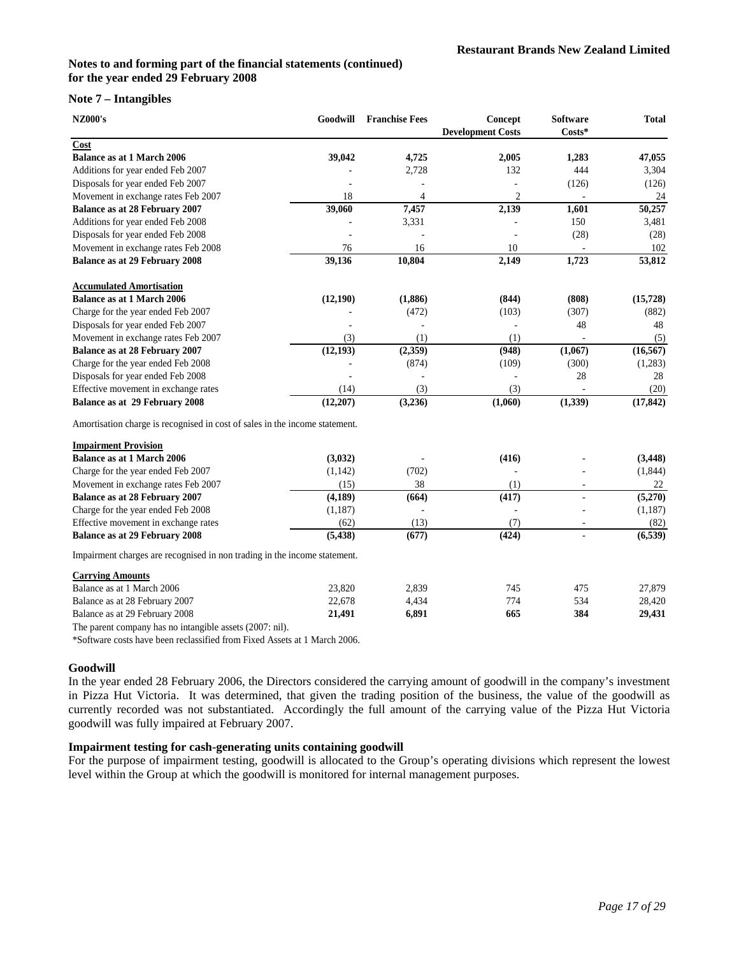### **Note 7 – Intangibles**

| <b>NZ000's</b>                                                              | Goodwill  | <b>Franchise Fees</b> | Concept<br><b>Development Costs</b> | <b>Software</b><br>$Costs*$ | <b>Total</b> |
|-----------------------------------------------------------------------------|-----------|-----------------------|-------------------------------------|-----------------------------|--------------|
| Cost                                                                        |           |                       |                                     |                             |              |
| <b>Balance as at 1 March 2006</b>                                           | 39,042    | 4,725                 | 2,005                               | 1,283                       | 47,055       |
| Additions for year ended Feb 2007                                           |           | 2,728                 | 132                                 | 444                         | 3,304        |
| Disposals for year ended Feb 2007                                           |           |                       |                                     | (126)                       | (126)        |
| Movement in exchange rates Feb 2007                                         | 18        | $\overline{4}$        | $\overline{2}$                      |                             | 24           |
| Balance as at 28 February 2007                                              | 39,060    | 7,457                 | 2,139                               | 1,601                       | 50,257       |
| Additions for year ended Feb 2008                                           |           | 3,331                 |                                     | 150                         | 3,481        |
| Disposals for year ended Feb 2008                                           |           |                       |                                     | (28)                        | (28)         |
| Movement in exchange rates Feb 2008                                         | 76        | 16                    | 10                                  |                             | 102          |
| Balance as at 29 February 2008                                              | 39,136    | 10,804                | 2,149                               | 1,723                       | 53,812       |
| <b>Accumulated Amortisation</b>                                             |           |                       |                                     |                             |              |
| <b>Balance as at 1 March 2006</b>                                           | (12,190)  | (1,886)               | (844)                               | (808)                       | (15, 728)    |
| Charge for the year ended Feb 2007                                          |           | (472)                 | (103)                               | (307)                       | (882)        |
| Disposals for year ended Feb 2007                                           |           |                       | ÷,                                  | 48                          | 48           |
| Movement in exchange rates Feb 2007                                         | (3)       | (1)                   | (1)                                 |                             | (5)          |
| Balance as at 28 February 2007                                              | (12, 193) | (2,359)               | (948)                               | (1,067)                     | (16, 567)    |
| Charge for the year ended Feb 2008                                          |           | (874)                 | (109)                               | (300)                       | (1,283)      |
| Disposals for year ended Feb 2008                                           |           |                       |                                     | 28                          | 28           |
| Effective movement in exchange rates                                        | (14)      | (3)                   | (3)                                 |                             | (20)         |
| Balance as at 29 February 2008                                              | (12,207)  | (3,236)               | (1,060)                             | (1, 339)                    | (17, 842)    |
| Amortisation charge is recognised in cost of sales in the income statement. |           |                       |                                     |                             |              |
| <b>Impairment Provision</b>                                                 |           |                       |                                     |                             |              |
| <b>Balance as at 1 March 2006</b>                                           | (3,032)   |                       | (416)                               |                             | (3, 448)     |
| Charge for the year ended Feb 2007                                          | (1,142)   | (702)                 |                                     |                             | (1,844)      |
| Movement in exchange rates Feb 2007                                         | (15)      | 38                    | (1)                                 |                             | 22           |
| Balance as at 28 February 2007                                              | (4,189)   | (664)                 | (417)                               | $\mathbf{r}$                | (5,270)      |
| Charge for the year ended Feb 2008                                          | (1, 187)  |                       |                                     |                             | (1, 187)     |
| Effective movement in exchange rates                                        | (62)      | (13)                  | (7)                                 |                             | (82)         |
| <b>Balance as at 29 February 2008</b>                                       | (5, 438)  | (677)                 | (424)                               |                             | (6, 539)     |
| Impairment charges are recognised in non trading in the income statement.   |           |                       |                                     |                             |              |
| <b>Carrying Amounts</b>                                                     |           |                       |                                     |                             |              |

Balance as at 1 March 2006 23,820 2,839 745 475 27,879 Balance as at 28 February 2007 22,678 4,434 774 534 28,420 Balance as at 29 February 2008 **21,491 6,891 665 384 29,431**

The parent company has no intangible assets (2007: nil).

\*Software costs have been reclassified from Fixed Assets at 1 March 2006.

# **Goodwill**

In the year ended 28 February 2006, the Directors considered the carrying amount of goodwill in the company's investment in Pizza Hut Victoria. It was determined, that given the trading position of the business, the value of the goodwill as currently recorded was not substantiated. Accordingly the full amount of the carrying value of the Pizza Hut Victoria goodwill was fully impaired at February 2007.

# **Impairment testing for cash-generating units containing goodwill**

For the purpose of impairment testing, goodwill is allocated to the Group's operating divisions which represent the lowest level within the Group at which the goodwill is monitored for internal management purposes.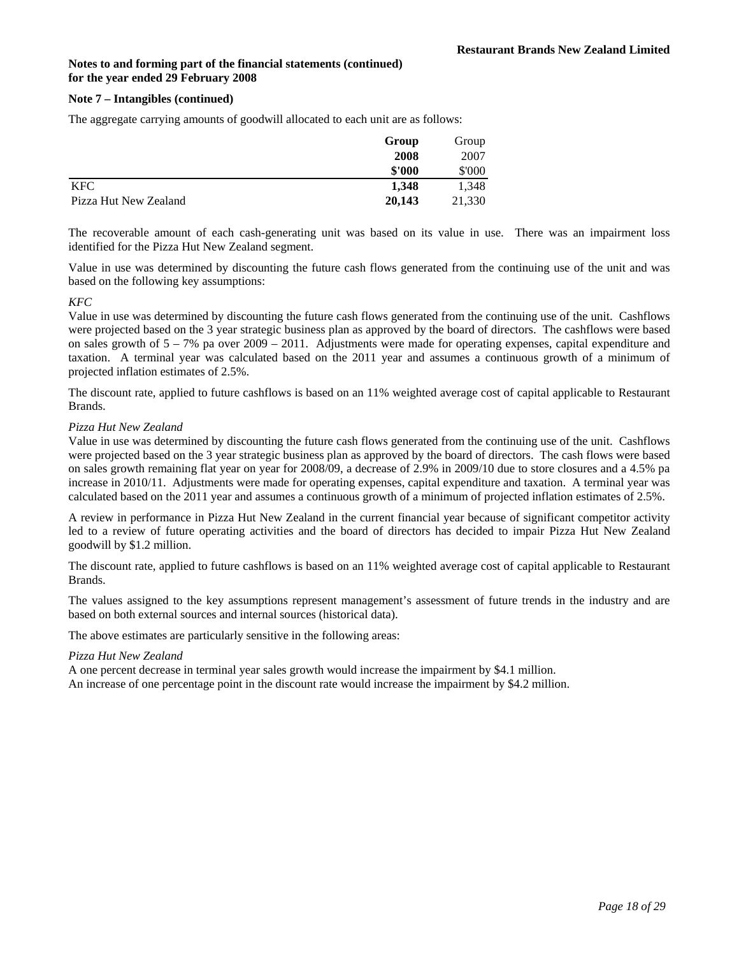### **Note 7 – Intangibles (continued)**

The aggregate carrying amounts of goodwill allocated to each unit are as follows:

|                       | Group  | Group  |
|-----------------------|--------|--------|
|                       | 2008   | 2007   |
|                       | \$'000 | \$'000 |
| <b>KFC</b>            | 1.348  | 1.348  |
| Pizza Hut New Zealand | 20,143 | 21,330 |

The recoverable amount of each cash-generating unit was based on its value in use. There was an impairment loss identified for the Pizza Hut New Zealand segment.

Value in use was determined by discounting the future cash flows generated from the continuing use of the unit and was based on the following key assumptions:

### *KFC*

Value in use was determined by discounting the future cash flows generated from the continuing use of the unit. Cashflows were projected based on the 3 year strategic business plan as approved by the board of directors. The cashflows were based on sales growth of  $5 - 7\%$  pa over  $2009 - 2011$ . Adjustments were made for operating expenses, capital expenditure and taxation. A terminal year was calculated based on the 2011 year and assumes a continuous growth of a minimum of projected inflation estimates of 2.5%.

The discount rate, applied to future cashflows is based on an 11% weighted average cost of capital applicable to Restaurant Brands.

### *Pizza Hut New Zealand*

Value in use was determined by discounting the future cash flows generated from the continuing use of the unit. Cashflows were projected based on the 3 year strategic business plan as approved by the board of directors. The cash flows were based on sales growth remaining flat year on year for 2008/09, a decrease of 2.9% in 2009/10 due to store closures and a 4.5% pa increase in 2010/11. Adjustments were made for operating expenses, capital expenditure and taxation. A terminal year was calculated based on the 2011 year and assumes a continuous growth of a minimum of projected inflation estimates of 2.5%.

A review in performance in Pizza Hut New Zealand in the current financial year because of significant competitor activity led to a review of future operating activities and the board of directors has decided to impair Pizza Hut New Zealand goodwill by \$1.2 million.

The discount rate, applied to future cashflows is based on an 11% weighted average cost of capital applicable to Restaurant Brands.

The values assigned to the key assumptions represent management's assessment of future trends in the industry and are based on both external sources and internal sources (historical data).

The above estimates are particularly sensitive in the following areas:

### *Pizza Hut New Zealand*

A one percent decrease in terminal year sales growth would increase the impairment by \$4.1 million. An increase of one percentage point in the discount rate would increase the impairment by \$4.2 million.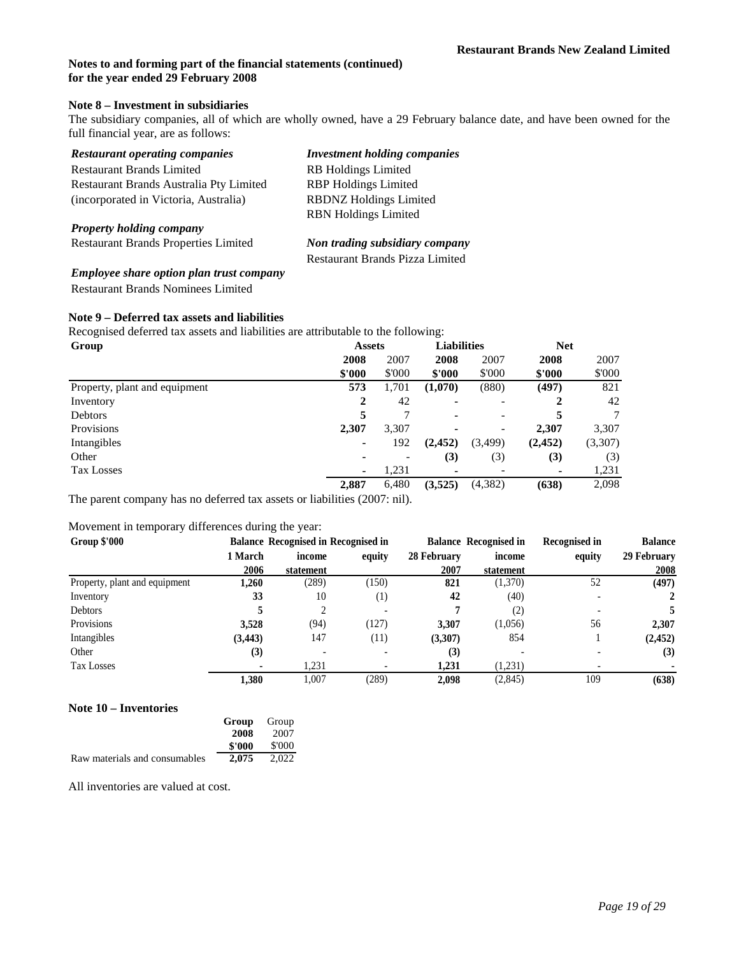### **Note 8 – Investment in subsidiaries**

The subsidiary companies, all of which are wholly owned, have a 29 February balance date, and have been owned for the full financial year, are as follows:

| <b>Restaurant operating companies</b>           | <b>Investment holding companies</b> |
|-------------------------------------------------|-------------------------------------|
| <b>Restaurant Brands Limited</b>                | <b>RB</b> Holdings Limited          |
| Restaurant Brands Australia Pty Limited         | <b>RBP</b> Holdings Limited         |
| (incorporated in Victoria, Australia)           | <b>RBDNZ Holdings Limited</b>       |
|                                                 | <b>RBN</b> Holdings Limited         |
| <b>Property holding company</b>                 |                                     |
| <b>Restaurant Brands Properties Limited</b>     | Non trading subsidiary company      |
|                                                 | Restaurant Brands Pizza Limited     |
| <b>Employee share option plan trust company</b> |                                     |
| <b>Restaurant Brands Nominees Limited</b>       |                                     |

### **Note 9 – Deferred tax assets and liabilities**

Recognised deferred tax assets and liabilities are attributable to the following:

| Group                         | <b>Assets</b> |        | <b>Liabilities</b> |                          | <b>Net</b> |         |
|-------------------------------|---------------|--------|--------------------|--------------------------|------------|---------|
|                               | 2008          | 2007   | 2008               | 2007                     | 2008       | 2007    |
|                               | \$'000        | \$'000 | \$'000             | \$'000                   | \$'000     | \$'000  |
| Property, plant and equipment | 573           | 1,701  | (1,070)            | (880)                    | (497)      | 821     |
| Inventory                     | 2             | 42     | ۰                  | $\overline{\phantom{a}}$ |            | 42      |
| Debtors                       |               |        | ۰                  |                          |            |         |
| Provisions                    | 2,307         | 3,307  | $\blacksquare$     |                          | 2.307      | 3,307   |
| Intangibles                   |               | 192    | (2, 452)           | (3,499)                  | (2, 452)   | (3,307) |
| Other                         |               |        | (3)                | (3)                      | (3)        | (3)     |
| <b>Tax Losses</b>             |               | 1,231  | ۰                  |                          | ۰          | 1,231   |
|                               | 2,887         | 6,480  | (3,525)            | (4, 382)                 | (638)      | 2,098   |

The parent company has no deferred tax assets or liabilities (2007: nil).

### Movement in temporary differences during the year:

| Group \$'000                  |          | <b>Balance Recognised in Recognised in</b><br><b>Balance Recognised in</b> |                  |             |           | Recognised in | <b>Balance</b> |
|-------------------------------|----------|----------------------------------------------------------------------------|------------------|-------------|-----------|---------------|----------------|
|                               | 1 March  | income                                                                     | equity           | 28 February | income    | equity        | 29 February    |
|                               | 2006     | statement                                                                  |                  | 2007        | statement |               | 2008           |
| Property, plant and equipment | 1,260    | (289)                                                                      | (150)            | 821         | (1,370)   | 52            | (497)          |
| Inventory                     | 33       | 10                                                                         | $\left(1\right)$ | 42          | (40)      |               |                |
| Debtors                       |          |                                                                            |                  |             | (2)       |               |                |
| Provisions                    | 3.528    | (94)                                                                       | (127)            | 3,307       | (1,056)   | 56            | 2,307          |
| Intangibles                   | (3, 443) | 147                                                                        | (11)             | (3,307)     | 854       |               | (2, 452)       |
| Other                         | (3)      |                                                                            |                  | (3)         |           |               | (3)            |
| <b>Tax Losses</b>             |          | 1.231                                                                      |                  | 1.231       | (1,231)   |               |                |
|                               | 1,380    | 1.007                                                                      | (289)            | 2,098       | (2,845)   | 109           | (638)          |

### **Note 10 – Inventories**

|                               | Group  | Group  |
|-------------------------------|--------|--------|
|                               | 2008   | 2007   |
|                               | \$'000 | \$'000 |
| Raw materials and consumables | 2.075  | 2.022  |

All inventories are valued at cost.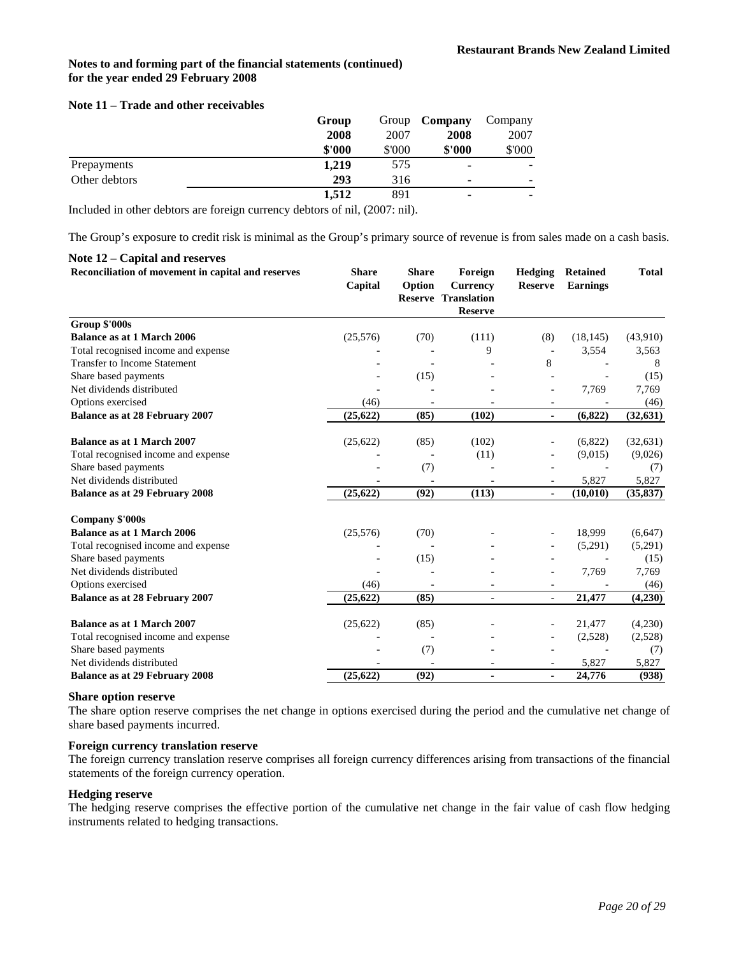### **Note 11 – Trade and other receivables**

|               | Group  |        | Group <b>Company</b> | Company                  |
|---------------|--------|--------|----------------------|--------------------------|
|               | 2008   | 2007   | 2008                 | 2007                     |
|               | \$'000 | \$'000 | \$'000               | \$'000                   |
| Prepayments   | 1.219  | 575    | ٠                    |                          |
| Other debtors | 293    | 316    | ٠                    | $\overline{\phantom{0}}$ |
|               | 1.512  | 891    | ٠                    |                          |

Included in other debtors are foreign currency debtors of nil, (2007: nil).

The Group's exposure to credit risk is minimal as the Group's primary source of revenue is from sales made on a cash basis.

### **Note 12 – Capital and reserves**

| Reconciliation of movement in capital and reserves | <b>Share</b><br>Capital | <b>Share</b><br>Option   | Foreign<br><b>Currency</b><br><b>Reserve Translation</b><br><b>Reserve</b> | <b>Hedging</b><br><b>Reserve</b> | <b>Retained</b><br><b>Earnings</b> | <b>Total</b> |
|----------------------------------------------------|-------------------------|--------------------------|----------------------------------------------------------------------------|----------------------------------|------------------------------------|--------------|
| Group \$'000s                                      |                         |                          |                                                                            |                                  |                                    |              |
| <b>Balance as at 1 March 2006</b>                  | (25,576)                | (70)                     | (111)                                                                      | (8)                              | (18, 145)                          | (43,910)     |
| Total recognised income and expense                |                         |                          | 9                                                                          |                                  | 3,554                              | 3,563        |
| <b>Transfer to Income Statement</b>                |                         |                          |                                                                            | 8                                |                                    | 8            |
| Share based payments                               |                         | (15)                     |                                                                            |                                  |                                    | (15)         |
| Net dividends distributed                          |                         |                          |                                                                            | $\overline{a}$                   | 7,769                              | 7,769        |
| Options exercised                                  | (46)                    | $\overline{\phantom{a}}$ |                                                                            | $\overline{\phantom{a}}$         |                                    | (46)         |
| <b>Balance as at 28 February 2007</b>              | (25, 622)               | (85)                     | (102)                                                                      | $\blacksquare$                   | (6,822)                            | (32, 631)    |
| <b>Balance as at 1 March 2007</b>                  | (25, 622)               | (85)                     | (102)                                                                      |                                  | (6,822)                            | (32, 631)    |
| Total recognised income and expense                |                         |                          | (11)                                                                       | ÷.                               | (9,015)                            | (9,026)      |
| Share based payments                               |                         | (7)                      |                                                                            |                                  |                                    | (7)          |
| Net dividends distributed                          |                         |                          |                                                                            |                                  | 5,827                              | 5,827        |
| <b>Balance as at 29 February 2008</b>              | (25, 622)               | (92)                     | (113)                                                                      | $\bar{a}$                        | (10, 010)                          | (35, 837)    |
| <b>Company \$'000s</b>                             |                         |                          |                                                                            |                                  |                                    |              |
| <b>Balance as at 1 March 2006</b>                  | (25,576)                | (70)                     |                                                                            |                                  | 18,999                             | (6,647)      |
| Total recognised income and expense                |                         |                          |                                                                            | $\overline{\phantom{a}}$         | (5,291)                            | (5,291)      |
| Share based payments                               |                         | (15)                     |                                                                            |                                  |                                    | (15)         |
| Net dividends distributed                          |                         |                          |                                                                            | $\overline{a}$                   | 7,769                              | 7,769        |
| Options exercised                                  | (46)                    |                          |                                                                            | $\ddot{\phantom{1}}$             |                                    | (46)         |
| <b>Balance as at 28 February 2007</b>              | (25, 622)               | (85)                     |                                                                            | $\frac{1}{2}$                    | 21,477                             | (4,230)      |
| <b>Balance as at 1 March 2007</b>                  | (25, 622)               | (85)                     |                                                                            | $\overline{\phantom{a}}$         | 21,477                             | (4,230)      |
| Total recognised income and expense                |                         |                          |                                                                            | $\overline{\phantom{a}}$         | (2,528)                            | (2,528)      |
| Share based payments                               |                         | (7)                      |                                                                            |                                  |                                    | (7)          |
| Net dividends distributed                          |                         |                          |                                                                            |                                  | 5,827                              | 5,827        |
| <b>Balance as at 29 February 2008</b>              | (25, 622)               | (92)                     | $\blacksquare$                                                             | ä,                               | 24,776                             | (938)        |

# **Share option reserve**

The share option reserve comprises the net change in options exercised during the period and the cumulative net change of share based payments incurred.

# **Foreign currency translation reserve**

The foreign currency translation reserve comprises all foreign currency differences arising from transactions of the financial statements of the foreign currency operation.

#### **Hedging reserve**

The hedging reserve comprises the effective portion of the cumulative net change in the fair value of cash flow hedging instruments related to hedging transactions.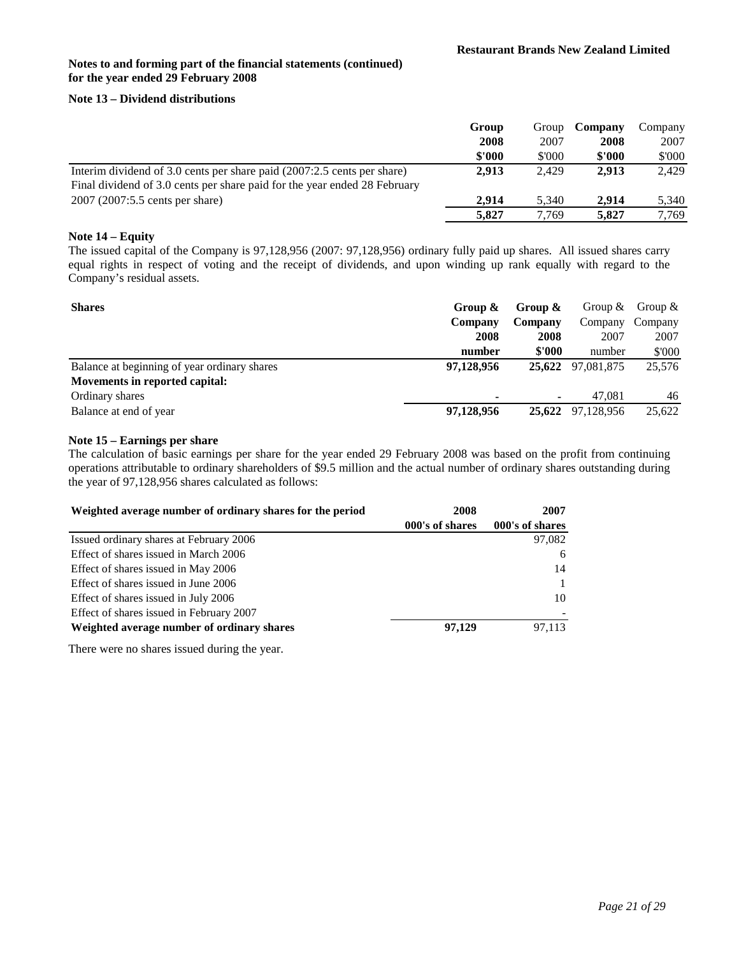# **Note 13 – Dividend distributions**

|                                                                           | Group  | Group  | Company | Company |
|---------------------------------------------------------------------------|--------|--------|---------|---------|
|                                                                           | 2008   | 2007   | 2008    | 2007    |
|                                                                           | \$'000 | \$'000 | \$'000  | \$'000  |
| Interim dividend of 3.0 cents per share paid (2007:2.5 cents per share)   | 2.913  | 2.429  | 2.913   | 2.429   |
| Final dividend of 3.0 cents per share paid for the year ended 28 February |        |        |         |         |
| 2007 (2007:5.5 cents per share)                                           | 2.914  | 5.340  | 2.914   | 5,340   |
|                                                                           | 5,827  | 7.769  | 5.827   | 7.769   |

### **Note 14 – Equity**

The issued capital of the Company is 97,128,956 (2007: 97,128,956) ordinary fully paid up shares. All issued shares carry equal rights in respect of voting and the receipt of dividends, and upon winding up rank equally with regard to the Company's residual assets.

| <b>Shares</b>                                | Group $\&$ | Group & | Group $&$         | Group $&$ |
|----------------------------------------------|------------|---------|-------------------|-----------|
|                                              | Company    | Company | Company           | Company   |
|                                              | 2008       | 2008    | 2007              | 2007      |
|                                              | number     | \$'000  | number            | \$'000    |
| Balance at beginning of year ordinary shares | 97,128,956 |         | 25.622 97.081.875 | 25,576    |
| Movements in reported capital:               |            |         |                   |           |
| Ordinary shares                              |            |         | 47.081            | 46        |
| Balance at end of year                       | 97,128,956 | 25.622  | 97.128.956        | 25,622    |

### **Note 15 – Earnings per share**

The calculation of basic earnings per share for the year ended 29 February 2008 was based on the profit from continuing operations attributable to ordinary shareholders of \$9.5 million and the actual number of ordinary shares outstanding during the year of 97,128,956 shares calculated as follows:

| Weighted average number of ordinary shares for the period | 2008<br>2007    |                 |
|-----------------------------------------------------------|-----------------|-----------------|
|                                                           | 000's of shares | 000's of shares |
| Issued ordinary shares at February 2006                   |                 | 97,082          |
| Effect of shares issued in March 2006                     |                 | 6               |
| Effect of shares issued in May 2006                       |                 | 14              |
| Effect of shares issued in June 2006                      |                 |                 |
| Effect of shares issued in July 2006                      |                 | 10              |
| Effect of shares issued in February 2007                  |                 |                 |
| Weighted average number of ordinary shares                | 97,129          | 97.113          |

There were no shares issued during the year.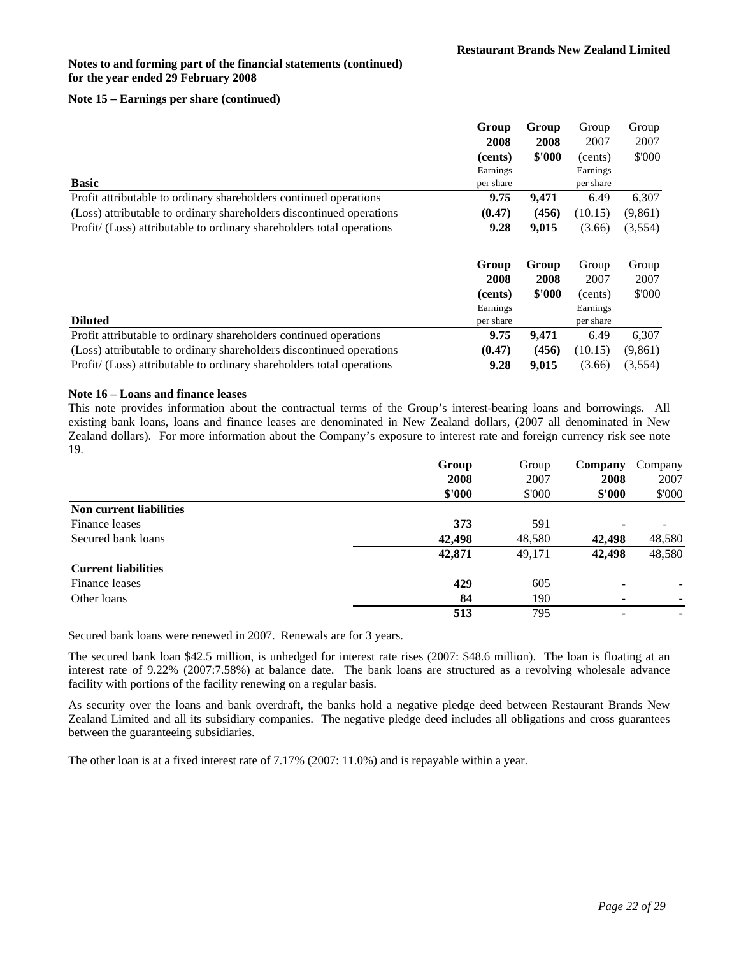## **Note 15 – Earnings per share (continued)**

|                                                                       | Group     | Group  | Group     | Group    |
|-----------------------------------------------------------------------|-----------|--------|-----------|----------|
|                                                                       | 2008      | 2008   | 2007      | 2007     |
|                                                                       | (cents)   | \$'000 | (cents)   | \$'000   |
|                                                                       | Earnings  |        | Earnings  |          |
| <b>Basic</b>                                                          | per share |        | per share |          |
| Profit attributable to ordinary shareholders continued operations     | 9.75      | 9,471  | 6.49      | 6,307    |
| (Loss) attributable to ordinary shareholders discontinued operations  | (0.47)    | (456)  | (10.15)   | (9, 861) |
| Profit/ (Loss) attributable to ordinary shareholders total operations | 9.28      | 9,015  | (3.66)    | (3,554)  |
|                                                                       | Group     | Group  | Group     | Group    |
|                                                                       |           |        |           |          |
|                                                                       | 2008      | 2008   | 2007      | 2007     |
|                                                                       | (cents)   | \$'000 | (cents)   | \$'000   |
|                                                                       | Earnings  |        | Earnings  |          |
| <b>Diluted</b>                                                        | per share |        | per share |          |
| Profit attributable to ordinary shareholders continued operations     | 9.75      | 9,471  | 6.49      | 6,307    |
| (Loss) attributable to ordinary shareholders discontinued operations  | (0.47)    | (456)  | (10.15)   | (9, 861) |

### **Note 16 – Loans and finance leases**

This note provides information about the contractual terms of the Group's interest-bearing loans and borrowings. All existing bank loans, loans and finance leases are denominated in New Zealand dollars, (2007 all denominated in New Zealand dollars). For more information about the Company's exposure to interest rate and foreign currency risk see note 19.

|                                | Group  | Group  | Company | Company |
|--------------------------------|--------|--------|---------|---------|
|                                | 2008   | 2007   | 2008    | 2007    |
|                                | \$'000 | \$'000 | \$'000  | \$'000  |
| <b>Non current liabilities</b> |        |        |         |         |
| Finance leases                 | 373    | 591    |         |         |
| Secured bank loans             | 42,498 | 48,580 | 42,498  | 48,580  |
|                                | 42,871 | 49,171 | 42,498  | 48,580  |
| <b>Current liabilities</b>     |        |        |         |         |
| Finance leases                 | 429    | 605    | ۰       |         |
| Other loans                    | 84     | 190    | ۰       |         |
|                                | 513    | 795    |         | ۰       |

Secured bank loans were renewed in 2007. Renewals are for 3 years.

The secured bank loan \$42.5 million, is unhedged for interest rate rises (2007: \$48.6 million). The loan is floating at an interest rate of 9.22% (2007:7.58%) at balance date. The bank loans are structured as a revolving wholesale advance facility with portions of the facility renewing on a regular basis.

As security over the loans and bank overdraft, the banks hold a negative pledge deed between Restaurant Brands New Zealand Limited and all its subsidiary companies. The negative pledge deed includes all obligations and cross guarantees between the guaranteeing subsidiaries.

The other loan is at a fixed interest rate of 7.17% (2007: 11.0%) and is repayable within a year.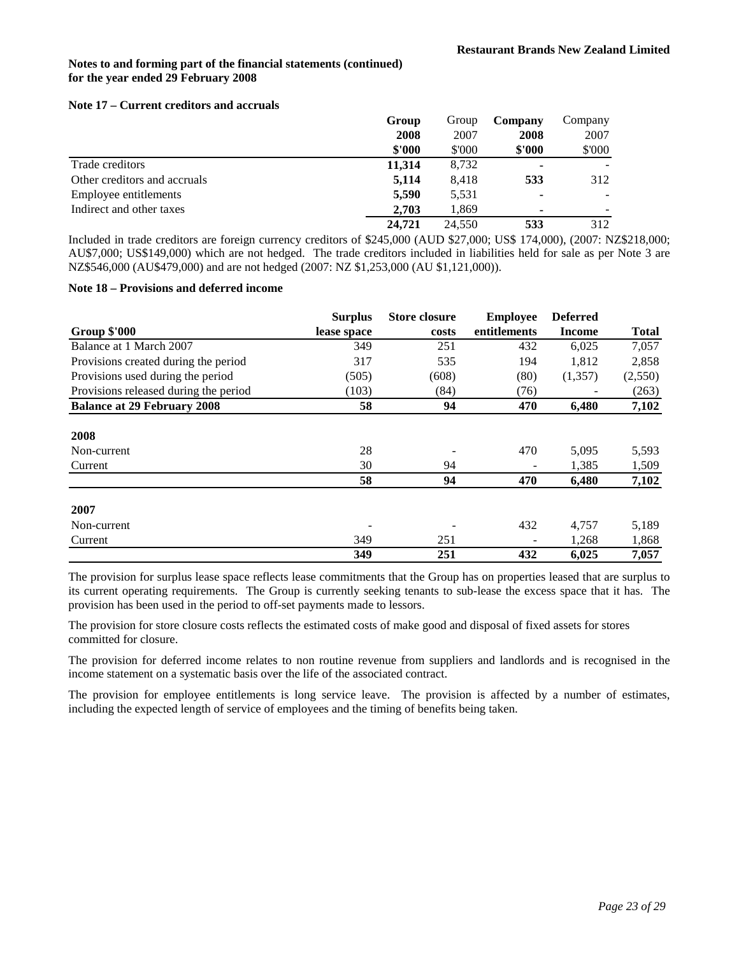### **Note 17 – Current creditors and accruals**

|                              | Group  | Group  | Company                  | Company |
|------------------------------|--------|--------|--------------------------|---------|
|                              | 2008   | 2007   | 2008                     | 2007    |
|                              | \$'000 | \$'000 | \$'000                   | \$'000  |
| Trade creditors              | 11,314 | 8,732  |                          |         |
| Other creditors and accruals | 5,114  | 8.418  | 533                      | 312     |
| Employee entitlements        | 5.590  | 5,531  |                          |         |
| Indirect and other taxes     | 2.703  | 1,869  | $\overline{\phantom{0}}$ |         |
|                              | 24,721 | 24,550 | 533                      | 312     |

Included in trade creditors are foreign currency creditors of \$245,000 (AUD \$27,000; US\$ 174,000), (2007: NZ\$218,000; AU\$7,000; US\$149,000) which are not hedged. The trade creditors included in liabilities held for sale as per Note 3 are NZ\$546,000 (AU\$479,000) and are not hedged (2007: NZ \$1,253,000 (AU \$1,121,000)).

### **Note 18 – Provisions and deferred income**

|                                       | <b>Surplus</b> | <b>Store closure</b> | <b>Employee</b> | <b>Deferred</b> |              |
|---------------------------------------|----------------|----------------------|-----------------|-----------------|--------------|
| <b>Group \$'000</b>                   | lease space    | costs                | entitlements    | Income          | <b>Total</b> |
| Balance at 1 March 2007               | 349            | 251                  | 432             | 6,025           | 7,057        |
| Provisions created during the period  | 317            | 535                  | 194             | 1,812           | 2,858        |
| Provisions used during the period     | (505)          | (608)                | (80)            | (1,357)         | (2,550)      |
| Provisions released during the period | (103)          | (84)                 | (76)            |                 | (263)        |
| <b>Balance at 29 February 2008</b>    | 58             | 94                   | 470             | 6,480           | 7,102        |
|                                       |                |                      |                 |                 |              |
| 2008                                  |                |                      |                 |                 |              |
| Non-current                           | 28             |                      | 470             | 5,095           | 5,593        |
| Current                               | 30             | 94                   |                 | 1,385           | 1,509        |
|                                       | 58             | 94                   | 470             | 6,480           | 7,102        |
| 2007                                  |                |                      |                 |                 |              |
| Non-current                           |                |                      | 432             | 4,757           | 5,189        |
| Current                               | 349            | 251                  |                 | 1,268           | 1,868        |
|                                       | 349            | 251                  | 432             | 6,025           | 7,057        |

The provision for surplus lease space reflects lease commitments that the Group has on properties leased that are surplus to its current operating requirements. The Group is currently seeking tenants to sub-lease the excess space that it has. The provision has been used in the period to off-set payments made to lessors.

The provision for store closure costs reflects the estimated costs of make good and disposal of fixed assets for stores committed for closure.

The provision for deferred income relates to non routine revenue from suppliers and landlords and is recognised in the income statement on a systematic basis over the life of the associated contract.

The provision for employee entitlements is long service leave. The provision is affected by a number of estimates, including the expected length of service of employees and the timing of benefits being taken.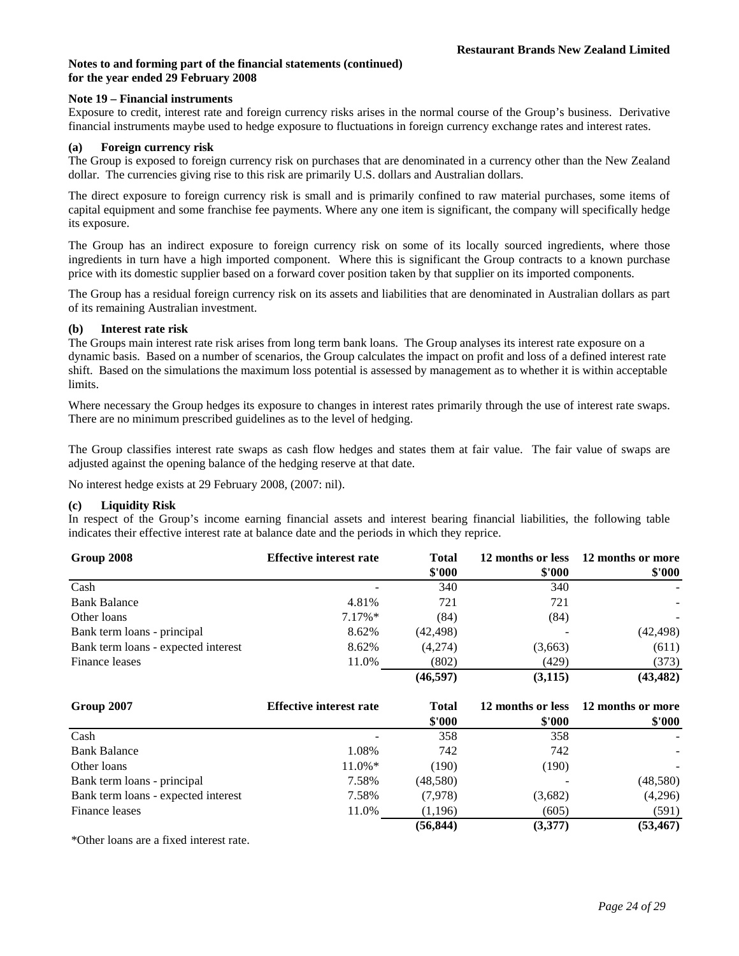### **Note 19 – Financial instruments**

Exposure to credit, interest rate and foreign currency risks arises in the normal course of the Group's business. Derivative financial instruments maybe used to hedge exposure to fluctuations in foreign currency exchange rates and interest rates.

### **(a) Foreign currency risk**

The Group is exposed to foreign currency risk on purchases that are denominated in a currency other than the New Zealand dollar. The currencies giving rise to this risk are primarily U.S. dollars and Australian dollars.

The direct exposure to foreign currency risk is small and is primarily confined to raw material purchases, some items of capital equipment and some franchise fee payments. Where any one item is significant, the company will specifically hedge its exposure.

The Group has an indirect exposure to foreign currency risk on some of its locally sourced ingredients, where those ingredients in turn have a high imported component. Where this is significant the Group contracts to a known purchase price with its domestic supplier based on a forward cover position taken by that supplier on its imported components.

The Group has a residual foreign currency risk on its assets and liabilities that are denominated in Australian dollars as part of its remaining Australian investment.

### **(b) Interest rate risk**

The Groups main interest rate risk arises from long term bank loans. The Group analyses its interest rate exposure on a dynamic basis. Based on a number of scenarios, the Group calculates the impact on profit and loss of a defined interest rate shift. Based on the simulations the maximum loss potential is assessed by management as to whether it is within acceptable limits.

Where necessary the Group hedges its exposure to changes in interest rates primarily through the use of interest rate swaps. There are no minimum prescribed guidelines as to the level of hedging.

The Group classifies interest rate swaps as cash flow hedges and states them at fair value. The fair value of swaps are adjusted against the opening balance of the hedging reserve at that date.

No interest hedge exists at 29 February 2008, (2007: nil).

# **(c) Liquidity Risk**

In respect of the Group's income earning financial assets and interest bearing financial liabilities, the following table indicates their effective interest rate at balance date and the periods in which they reprice.

| Group 2008                          | <b>Effective interest rate</b> | <b>Total</b><br>\$'000 | \$'000   | 12 months or less 12 months or more<br>\$'000 |
|-------------------------------------|--------------------------------|------------------------|----------|-----------------------------------------------|
| Cash                                |                                | 340                    | 340      |                                               |
| <b>Bank Balance</b>                 | 4.81%                          | 721                    | 721      |                                               |
| Other loans                         | $7.17\%*$                      | (84)                   | (84)     |                                               |
| Bank term loans - principal         | 8.62%                          | (42, 498)              |          | (42, 498)                                     |
| Bank term loans - expected interest | 8.62%                          | (4,274)                | (3,663)  | (611)                                         |
| Finance leases                      | 11.0%                          | (802)                  | (429)    | (373)                                         |
|                                     |                                | (46, 597)              | (3, 115) | (43, 482)                                     |

| Group 2007                          | <b>Effective interest rate</b> | <b>Total</b><br>\$'000 | 12 months or less | 12 months or more |
|-------------------------------------|--------------------------------|------------------------|-------------------|-------------------|
|                                     |                                |                        | \$'000            | \$'000            |
| Cash                                |                                | 358                    | 358               |                   |
| <b>Bank Balance</b>                 | 1.08%                          | 742                    | 742               |                   |
| Other loans                         | $11.0\%*$                      | (190)                  | (190)             |                   |
| Bank term loans - principal         | 7.58%                          | (48,580)               |                   | (48,580)          |
| Bank term loans - expected interest | 7.58%                          | (7,978)                | (3,682)           | (4,296)           |
| Finance leases                      | 11.0%                          | (1,196)                | (605)             | (591)             |
|                                     |                                | (56, 844)              | (3,377)           | (53, 467)         |

\*Other loans are a fixed interest rate.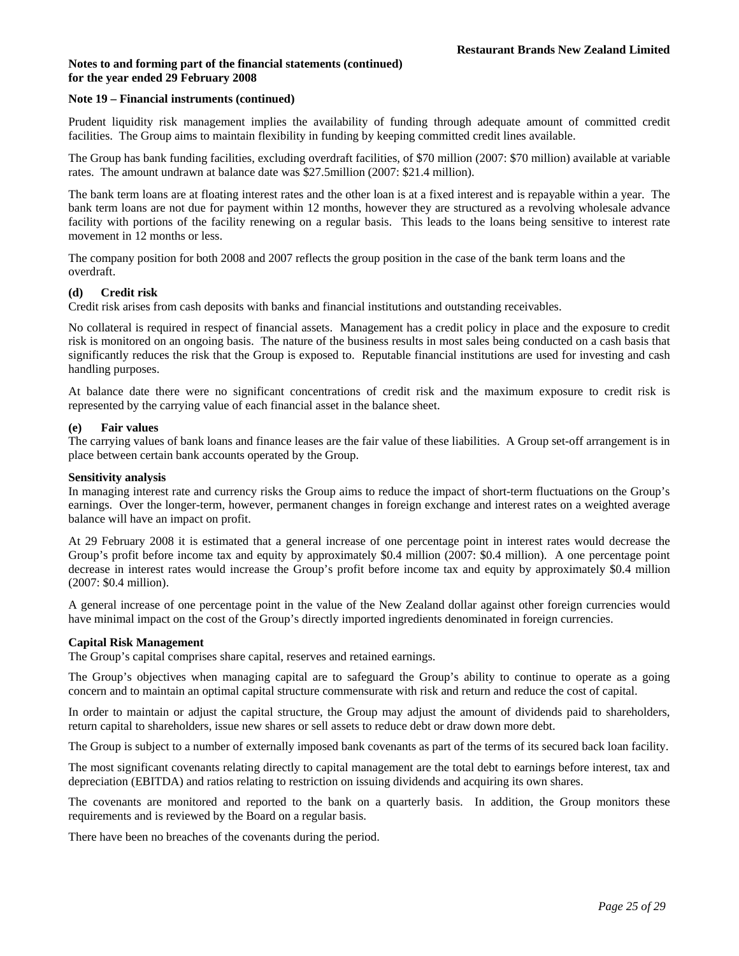### **Note 19 – Financial instruments (continued)**

Prudent liquidity risk management implies the availability of funding through adequate amount of committed credit facilities. The Group aims to maintain flexibility in funding by keeping committed credit lines available.

The Group has bank funding facilities, excluding overdraft facilities, of \$70 million (2007: \$70 million) available at variable rates. The amount undrawn at balance date was \$27.5million (2007: \$21.4 million).

The bank term loans are at floating interest rates and the other loan is at a fixed interest and is repayable within a year. The bank term loans are not due for payment within 12 months, however they are structured as a revolving wholesale advance facility with portions of the facility renewing on a regular basis. This leads to the loans being sensitive to interest rate movement in 12 months or less.

The company position for both 2008 and 2007 reflects the group position in the case of the bank term loans and the overdraft.

### **(d) Credit risk**

Credit risk arises from cash deposits with banks and financial institutions and outstanding receivables.

No collateral is required in respect of financial assets. Management has a credit policy in place and the exposure to credit risk is monitored on an ongoing basis. The nature of the business results in most sales being conducted on a cash basis that significantly reduces the risk that the Group is exposed to. Reputable financial institutions are used for investing and cash handling purposes.

At balance date there were no significant concentrations of credit risk and the maximum exposure to credit risk is represented by the carrying value of each financial asset in the balance sheet.

### **(e) Fair values**

The carrying values of bank loans and finance leases are the fair value of these liabilities. A Group set-off arrangement is in place between certain bank accounts operated by the Group.

#### **Sensitivity analysis**

In managing interest rate and currency risks the Group aims to reduce the impact of short-term fluctuations on the Group's earnings. Over the longer-term, however, permanent changes in foreign exchange and interest rates on a weighted average balance will have an impact on profit.

At 29 February 2008 it is estimated that a general increase of one percentage point in interest rates would decrease the Group's profit before income tax and equity by approximately \$0.4 million (2007: \$0.4 million). A one percentage point decrease in interest rates would increase the Group's profit before income tax and equity by approximately \$0.4 million (2007: \$0.4 million).

A general increase of one percentage point in the value of the New Zealand dollar against other foreign currencies would have minimal impact on the cost of the Group's directly imported ingredients denominated in foreign currencies.

### **Capital Risk Management**

The Group's capital comprises share capital, reserves and retained earnings.

The Group's objectives when managing capital are to safeguard the Group's ability to continue to operate as a going concern and to maintain an optimal capital structure commensurate with risk and return and reduce the cost of capital.

In order to maintain or adjust the capital structure, the Group may adjust the amount of dividends paid to shareholders, return capital to shareholders, issue new shares or sell assets to reduce debt or draw down more debt.

The Group is subject to a number of externally imposed bank covenants as part of the terms of its secured back loan facility.

The most significant covenants relating directly to capital management are the total debt to earnings before interest, tax and depreciation (EBITDA) and ratios relating to restriction on issuing dividends and acquiring its own shares.

The covenants are monitored and reported to the bank on a quarterly basis. In addition, the Group monitors these requirements and is reviewed by the Board on a regular basis.

There have been no breaches of the covenants during the period.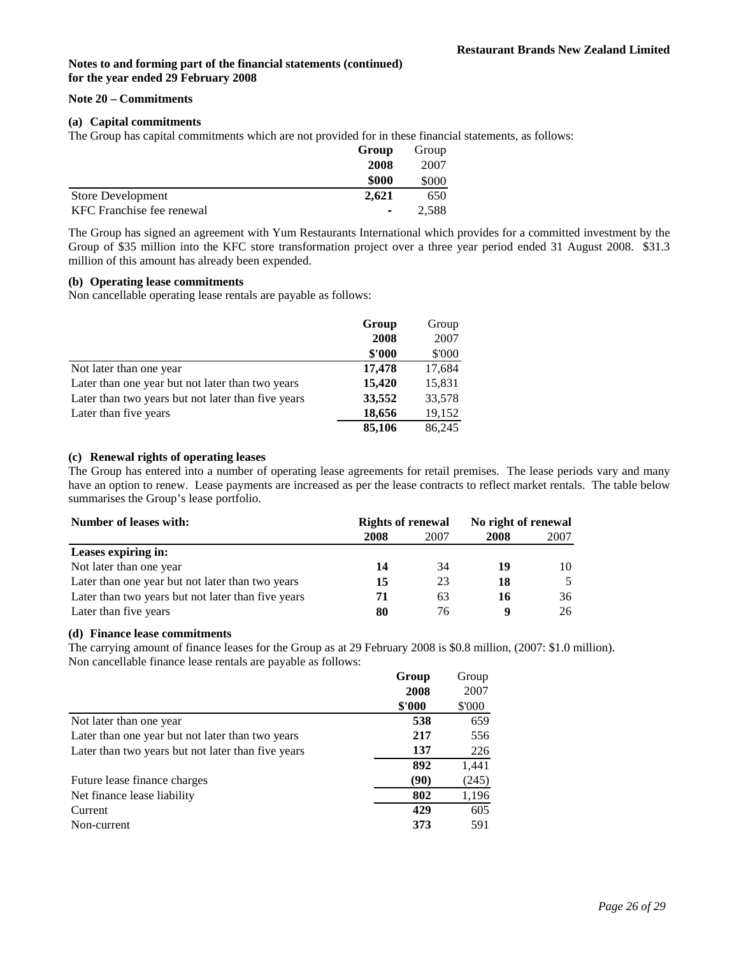### **Note 20 – Commitments**

### **(a) Capital commitments**

The Group has capital commitments which are not provided for in these financial statements, as follows:

| Group                                       | Group |
|---------------------------------------------|-------|
| 2008                                        | 2007  |
| \$000                                       | \$000 |
| 2.621<br><b>Store Development</b>           | 650   |
| KFC Franchise fee renewal<br>$\blacksquare$ | 2.588 |

The Group has signed an agreement with Yum Restaurants International which provides for a committed investment by the Group of \$35 million into the KFC store transformation project over a three year period ended 31 August 2008. \$31.3 million of this amount has already been expended.

# **(b) Operating lease commitments**

Non cancellable operating lease rentals are payable as follows:

|                                                    | Group  | Group  |
|----------------------------------------------------|--------|--------|
|                                                    | 2008   | 2007   |
|                                                    | \$'000 | \$'000 |
| Not later than one year                            | 17,478 | 17,684 |
| Later than one year but not later than two years   | 15,420 | 15,831 |
| Later than two years but not later than five years | 33,552 | 33,578 |
| Later than five years                              | 18,656 | 19,152 |
|                                                    | 85,106 | 86,245 |

# **(c) Renewal rights of operating leases**

The Group has entered into a number of operating lease agreements for retail premises. The lease periods vary and many have an option to renew. Lease payments are increased as per the lease contracts to reflect market rentals. The table below summarises the Group's lease portfolio.

| Number of leases with:                             | <b>Rights of renewal</b> |      | No right of renewal |                |
|----------------------------------------------------|--------------------------|------|---------------------|----------------|
|                                                    | 2008                     | 2007 | 2008                | 2007           |
| Leases expiring in:                                |                          |      |                     |                |
| Not later than one year                            | 14                       | 34   | 19                  | 10.            |
| Later than one year but not later than two years   | 15                       | 23   | 18                  | $\overline{5}$ |
| Later than two years but not later than five years | 71                       | 63   | 16                  | 36             |
| Later than five years                              | 80                       | 76   |                     | 26             |

### **(d) Finance lease commitments**

The carrying amount of finance leases for the Group as at 29 February 2008 is \$0.8 million, (2007: \$1.0 million). Non cancellable finance lease rentals are payable as follows:

|                                                    | Group  | Group  |
|----------------------------------------------------|--------|--------|
|                                                    | 2008   | 2007   |
|                                                    | \$'000 | \$'000 |
| Not later than one year                            | 538    | 659    |
| Later than one year but not later than two years   | 217    | 556    |
| Later than two years but not later than five years | 137    | 226    |
|                                                    | 892    | 1,441  |
| Future lease finance charges                       | (90)   | (245)  |
| Net finance lease liability                        | 802    | 1,196  |
| Current                                            | 429    | 605    |
| Non-current                                        | 373    | 591    |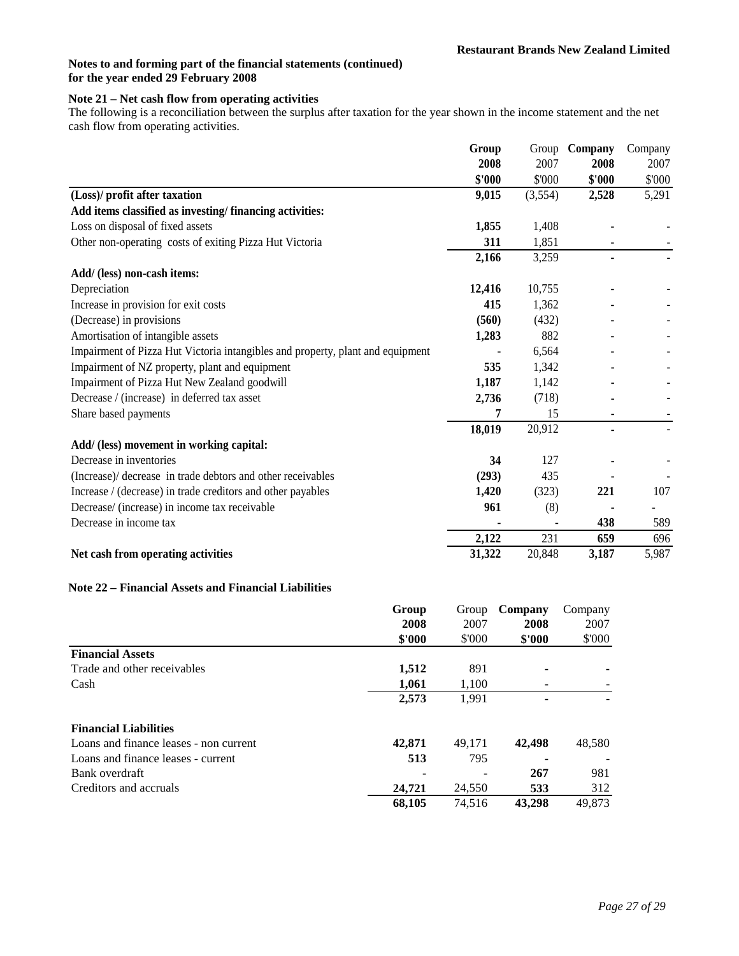# **Note 21 – Net cash flow from operating activities**

The following is a reconciliation between the surplus after taxation for the year shown in the income statement and the net cash flow from operating activities.

|                                                                                | Group  | Group   | Company        | Company |
|--------------------------------------------------------------------------------|--------|---------|----------------|---------|
|                                                                                | 2008   | 2007    | 2008           | 2007    |
|                                                                                | \$'000 | \$'000  | \$'000         | \$'000  |
| (Loss)/ profit after taxation                                                  | 9,015  | (3,554) | 2,528          | 5,291   |
| Add items classified as investing/financing activities:                        |        |         |                |         |
| Loss on disposal of fixed assets                                               | 1,855  | 1,408   |                |         |
| Other non-operating costs of exiting Pizza Hut Victoria                        | 311    | 1,851   |                |         |
|                                                                                | 2,166  | 3,259   | $\blacksquare$ |         |
| Add/ (less) non-cash items:                                                    |        |         |                |         |
| Depreciation                                                                   | 12,416 | 10,755  |                |         |
| Increase in provision for exit costs                                           | 415    | 1,362   |                |         |
| (Decrease) in provisions                                                       | (560)  | (432)   |                |         |
| Amortisation of intangible assets                                              | 1,283  | 882     |                |         |
| Impairment of Pizza Hut Victoria intangibles and property, plant and equipment |        | 6,564   |                |         |
| Impairment of NZ property, plant and equipment                                 | 535    | 1,342   |                |         |
| Impairment of Pizza Hut New Zealand goodwill                                   | 1,187  | 1,142   |                |         |
| Decrease / (increase) in deferred tax asset                                    | 2,736  | (718)   |                |         |
| Share based payments                                                           | 7      | 15      | ۰              |         |
|                                                                                | 18,019 | 20,912  |                |         |
| Add/ (less) movement in working capital:                                       |        |         |                |         |
| Decrease in inventories                                                        | 34     | 127     |                |         |
| (Increase)/ decrease in trade debtors and other receivables                    | (293)  | 435     |                |         |
| Increase / (decrease) in trade creditors and other payables                    | 1,420  | (323)   | 221            | 107     |
| Decrease/ (increase) in income tax receivable                                  | 961    | (8)     |                |         |
| Decrease in income tax                                                         |        |         | 438            | 589     |
|                                                                                | 2,122  | 231     | 659            | 696     |
| Net cash from operating activities                                             | 31,322 | 20,848  | 3,187          | 5,987   |

### **Note 22 – Financial Assets and Financial Liabilities**

|                                        | Group  | Group  | Company | Company |
|----------------------------------------|--------|--------|---------|---------|
|                                        | 2008   | 2007   | 2008    | 2007    |
|                                        | \$'000 | \$'000 | \$'000  | \$'000  |
| <b>Financial Assets</b>                |        |        |         |         |
| Trade and other receivables            | 1,512  | 891    |         |         |
| Cash                                   | 1,061  | 1,100  |         |         |
|                                        | 2,573  | 1,991  |         |         |
| <b>Financial Liabilities</b>           |        |        |         |         |
| Loans and finance leases - non current | 42,871 | 49,171 | 42,498  | 48,580  |
| Loans and finance leases - current     | 513    | 795    |         |         |
| Bank overdraft                         |        |        | 267     | 981     |
| Creditors and accruals                 | 24,721 | 24,550 | 533     | 312     |
|                                        | 68.105 | 74.516 | 43,298  | 49.873  |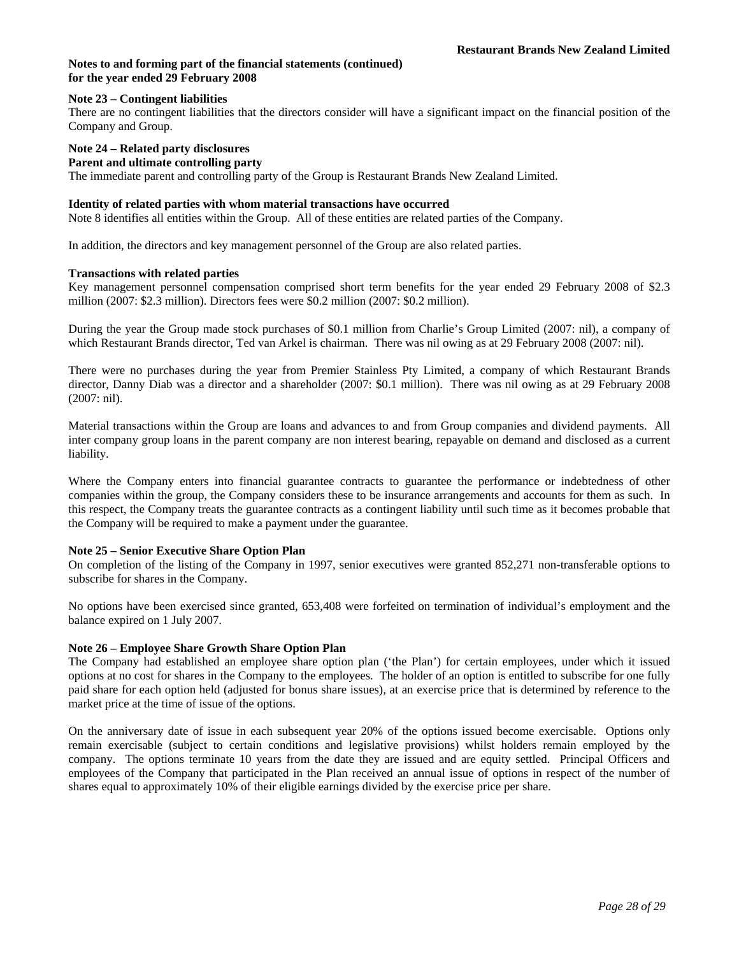### **Note 23 – Contingent liabilities**

There are no contingent liabilities that the directors consider will have a significant impact on the financial position of the Company and Group.

#### **Note 24 – Related party disclosures Parent and ultimate controlling party**

The immediate parent and controlling party of the Group is Restaurant Brands New Zealand Limited.

### **Identity of related parties with whom material transactions have occurred**

Note 8 identifies all entities within the Group. All of these entities are related parties of the Company.

In addition, the directors and key management personnel of the Group are also related parties.

### **Transactions with related parties**

Key management personnel compensation comprised short term benefits for the year ended 29 February 2008 of \$2.3 million (2007: \$2.3 million). Directors fees were \$0.2 million (2007: \$0.2 million).

During the year the Group made stock purchases of \$0.1 million from Charlie's Group Limited (2007: nil), a company of which Restaurant Brands director, Ted van Arkel is chairman. There was nil owing as at 29 February 2008 (2007: nil).

There were no purchases during the year from Premier Stainless Pty Limited, a company of which Restaurant Brands director, Danny Diab was a director and a shareholder (2007: \$0.1 million). There was nil owing as at 29 February 2008 (2007: nil).

Material transactions within the Group are loans and advances to and from Group companies and dividend payments. All inter company group loans in the parent company are non interest bearing, repayable on demand and disclosed as a current liability.

Where the Company enters into financial guarantee contracts to guarantee the performance or indebtedness of other companies within the group, the Company considers these to be insurance arrangements and accounts for them as such. In this respect, the Company treats the guarantee contracts as a contingent liability until such time as it becomes probable that the Company will be required to make a payment under the guarantee.

### **Note 25 – Senior Executive Share Option Plan**

On completion of the listing of the Company in 1997, senior executives were granted 852,271 non-transferable options to subscribe for shares in the Company.

No options have been exercised since granted, 653,408 were forfeited on termination of individual's employment and the balance expired on 1 July 2007.

### **Note 26 – Employee Share Growth Share Option Plan**

The Company had established an employee share option plan ('the Plan') for certain employees, under which it issued options at no cost for shares in the Company to the employees. The holder of an option is entitled to subscribe for one fully paid share for each option held (adjusted for bonus share issues), at an exercise price that is determined by reference to the market price at the time of issue of the options.

On the anniversary date of issue in each subsequent year 20% of the options issued become exercisable. Options only remain exercisable (subject to certain conditions and legislative provisions) whilst holders remain employed by the company. The options terminate 10 years from the date they are issued and are equity settled. Principal Officers and employees of the Company that participated in the Plan received an annual issue of options in respect of the number of shares equal to approximately 10% of their eligible earnings divided by the exercise price per share.